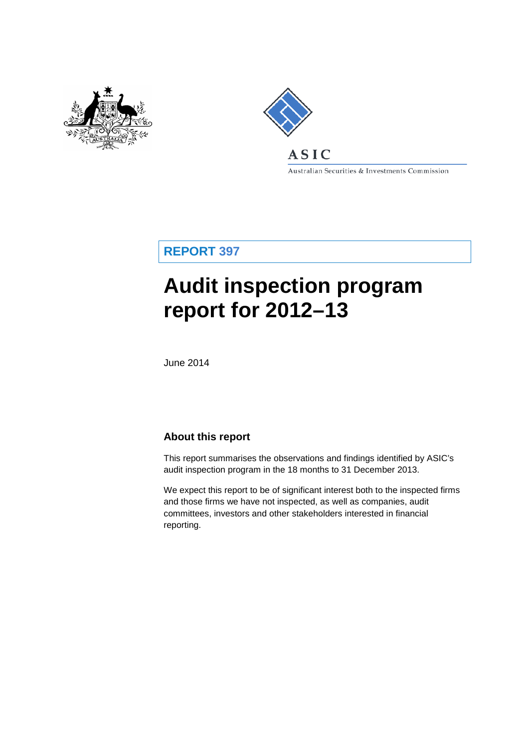



Australian Securities & Investments Commission

**REPORT 397**

# **Audit inspection program report for 2012–13**

June 2014

## **About this report**

This report summarises the observations and findings identified by ASIC's audit inspection program in the 18 months to 31 December 2013.

We expect this report to be of significant interest both to the inspected firms and those firms we have not inspected, as well as companies, audit committees, investors and other stakeholders interested in financial reporting.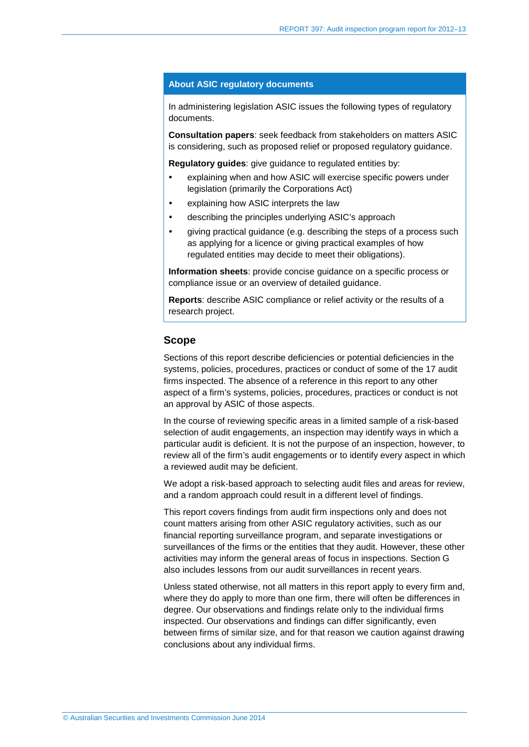#### **About ASIC regulatory documents**

In administering legislation ASIC issues the following types of regulatory documents.

**Consultation papers**: seek feedback from stakeholders on matters ASIC is considering, such as proposed relief or proposed regulatory guidance.

**Regulatory guides**: give guidance to regulated entities by:

- explaining when and how ASIC will exercise specific powers under legislation (primarily the Corporations Act)
- explaining how ASIC interprets the law
- describing the principles underlying ASIC's approach
- giving practical guidance (e.g. describing the steps of a process such as applying for a licence or giving practical examples of how regulated entities may decide to meet their obligations).

**Information sheets**: provide concise guidance on a specific process or compliance issue or an overview of detailed guidance.

**Reports**: describe ASIC compliance or relief activity or the results of a research project.

#### **Scope**

Sections of this report describe deficiencies or potential deficiencies in the systems, policies, procedures, practices or conduct of some of the 17 audit firms inspected. The absence of a reference in this report to any other aspect of a firm's systems, policies, procedures, practices or conduct is not an approval by ASIC of those aspects.

In the course of reviewing specific areas in a limited sample of a risk-based selection of audit engagements, an inspection may identify ways in which a particular audit is deficient. It is not the purpose of an inspection, however, to review all of the firm's audit engagements or to identify every aspect in which a reviewed audit may be deficient.

We adopt a risk-based approach to selecting audit files and areas for review, and a random approach could result in a different level of findings.

This report covers findings from audit firm inspections only and does not count matters arising from other ASIC regulatory activities, such as our financial reporting surveillance program, and separate investigations or surveillances of the firms or the entities that they audit. However, these other activities may inform the general areas of focus in inspections. Section [G](#page-41-0) also includes lessons from our audit surveillances in recent years.

Unless stated otherwise, not all matters in this report apply to every firm and, where they do apply to more than one firm, there will often be differences in degree. Our observations and findings relate only to the individual firms inspected. Our observations and findings can differ significantly, even between firms of similar size, and for that reason we caution against drawing conclusions about any individual firms.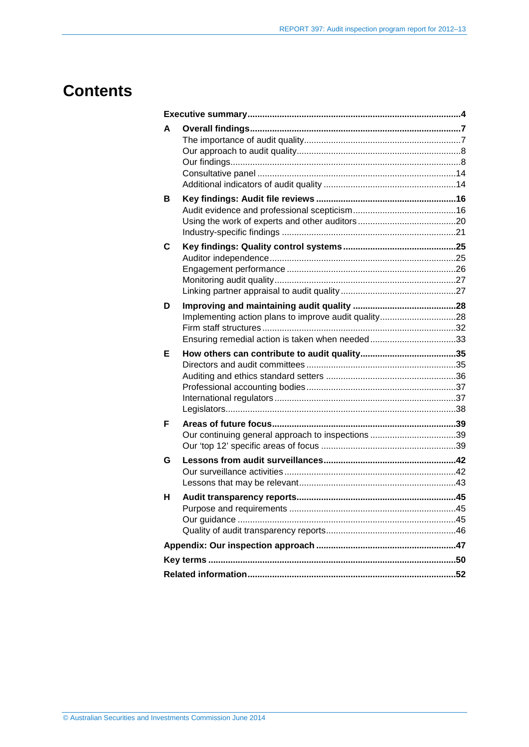## **Contents**

| A |                                                      |  |
|---|------------------------------------------------------|--|
| в |                                                      |  |
| С |                                                      |  |
| D | Implementing action plans to improve audit quality28 |  |
| Е |                                                      |  |
|   |                                                      |  |
| F | Our continuing general approach to inspections 39    |  |
| G |                                                      |  |
| н |                                                      |  |
|   |                                                      |  |
|   |                                                      |  |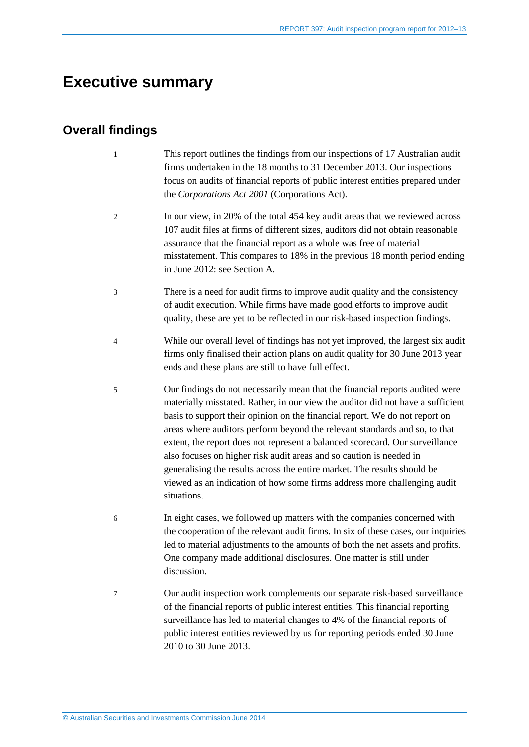## <span id="page-3-0"></span>**Executive summary**

## **Overall findings**

- 1 This report outlines the findings from our inspections of 17 Australian audit firms undertaken in the 18 months to 31 December 2013. Our inspections focus on audits of financial reports of public interest entities prepared under the *Corporations Act 2001* (Corporations Act).
- <span id="page-3-1"></span>2 In our view, in 20% of the total 454 key audit areas that we reviewed across 107 audit files at firms of different sizes, auditors did not obtain reasonable assurance that the financial report as a whole was free of material misstatement. This compares to 18% in the previous 18 month period ending in June 2012: see Section [A.](#page-6-0)
- 3 There is a need for audit firms to improve audit quality and the consistency of audit execution. While firms have made good efforts to improve audit quality, these are yet to be reflected in our risk-based inspection findings.
- 4 While our overall level of findings has not yet improved, the largest six audit firms only finalised their action plans on audit quality for 30 June 2013 year ends and these plans are still to have full effect.
- 5 Our findings do not necessarily mean that the financial reports audited were materially misstated. Rather, in our view the auditor did not have a sufficient basis to support their opinion on the financial report. We do not report on areas where auditors perform beyond the relevant standards and so, to that extent, the report does not represent a balanced scorecard. Our surveillance also focuses on higher risk audit areas and so caution is needed in generalising the results across the entire market. The results should be viewed as an indication of how some firms address more challenging audit situations.
- 6 In eight cases, we followed up matters with the companies concerned with the cooperation of the relevant audit firms. In six of these cases, our inquiries led to material adjustments to the amounts of both the net assets and profits. One company made additional disclosures. One matter is still under discussion.
- 7 Our audit inspection work complements our separate risk-based surveillance of the financial reports of public interest entities. This financial reporting surveillance has led to material changes to 4% of the financial reports of public interest entities reviewed by us for reporting periods ended 30 June 2010 to 30 June 2013.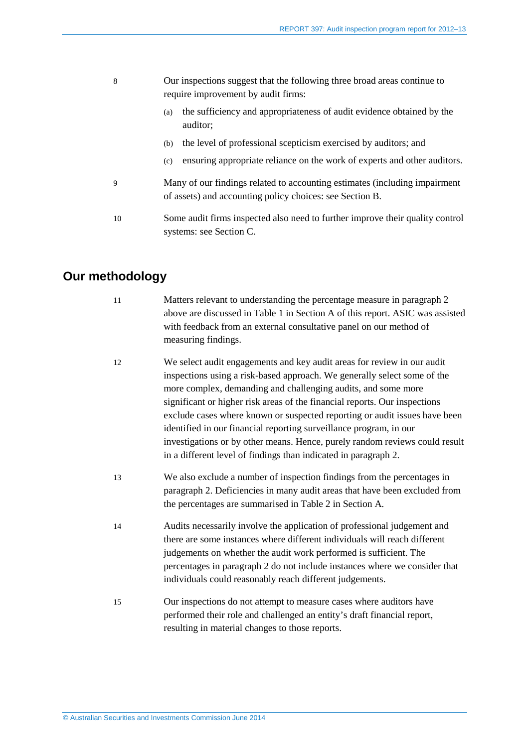- 8 Our inspections suggest that the following three broad areas continue to require improvement by audit firms:
	- (a) the sufficiency and appropriateness of audit evidence obtained by the auditor;
	- (b) the level of professional scepticism exercised by auditors; and
	- (c) ensuring appropriate reliance on the work of experts and other auditors.
- 9 Many of our findings related to accounting estimates (including impairment of assets) and accounting policy choices: see Section [B.](#page-15-0)
- 10 Some audit firms inspected also need to further improve their quality control systems: see Section [C.](#page-24-0)

## **Our methodology**

- 11 Matters relevant to understanding the percentage measure in paragraph [2](#page-3-1) above are discussed i[n Table 1](#page-9-0) in Section [A](#page-6-0) of this report. ASIC was assisted with feedback from an external consultative panel on our method of measuring findings.
- 12 We select audit engagements and key audit areas for review in our audit inspections using a risk-based approach. We generally select some of the more complex, demanding and challenging audits, and some more significant or higher risk areas of the financial reports. Our inspections exclude cases where known or suspected reporting or audit issues have been identified in our financial reporting surveillance program, in our investigations or by other means. Hence, purely random reviews could result in a different level of findings than indicated in paragraph [2.](#page-3-1)
- 13 We also exclude a number of inspection findings from the percentages in paragraph [2.](#page-3-1) Deficiencies in many audit areas that have been excluded from the percentages are summarised i[n Table 2](#page-14-0) in Sectio[n A.](#page-6-0)
- 14 Audits necessarily involve the application of professional judgement and there are some instances where different individuals will reach different judgements on whether the audit work performed is sufficient. The percentages in paragraph [2](#page-3-1) do not include instances where we consider that individuals could reasonably reach different judgements.
- 15 Our inspections do not attempt to measure cases where auditors have performed their role and challenged an entity's draft financial report, resulting in material changes to those reports.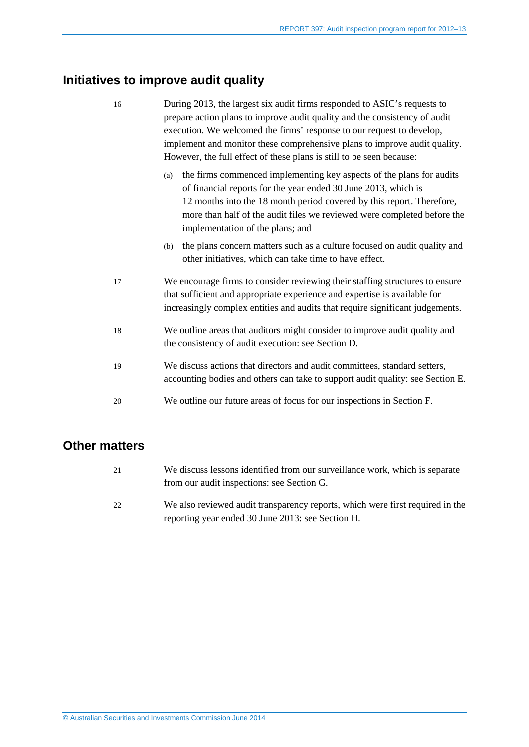## **Initiatives to improve audit quality**

| 16 | During 2013, the largest six audit firms responded to ASIC's requests to<br>prepare action plans to improve audit quality and the consistency of audit<br>execution. We welcomed the firms' response to our request to develop,<br>implement and monitor these comprehensive plans to improve audit quality.<br>However, the full effect of these plans is still to be seen because: |  |
|----|--------------------------------------------------------------------------------------------------------------------------------------------------------------------------------------------------------------------------------------------------------------------------------------------------------------------------------------------------------------------------------------|--|
|    | the firms commenced implementing key aspects of the plans for audits<br>(a)<br>of financial reports for the year ended 30 June 2013, which is<br>12 months into the 18 month period covered by this report. Therefore,<br>more than half of the audit files we reviewed were completed before the<br>implementation of the plans; and                                                |  |
|    | the plans concern matters such as a culture focused on audit quality and<br>(b)<br>other initiatives, which can take time to have effect.                                                                                                                                                                                                                                            |  |
| 17 | We encourage firms to consider reviewing their staffing structures to ensure<br>that sufficient and appropriate experience and expertise is available for<br>increasingly complex entities and audits that require significant judgements.                                                                                                                                           |  |
| 18 | We outline areas that auditors might consider to improve audit quality and<br>the consistency of audit execution: see Section D.                                                                                                                                                                                                                                                     |  |
| 19 | We discuss actions that directors and audit committees, standard setters,<br>accounting bodies and others can take to support audit quality: see Section E.                                                                                                                                                                                                                          |  |
| 20 | We outline our future areas of focus for our inspections in Section F.                                                                                                                                                                                                                                                                                                               |  |

## **Other matters**

| 21 | We discuss lessons identified from our surveillance work, which is separate |
|----|-----------------------------------------------------------------------------|
|    | from our audit inspections: see Section G.                                  |

22 We also reviewed audit transparency reports, which were first required in the reporting year ended 30 June 2013: see Section [H.](#page-44-0)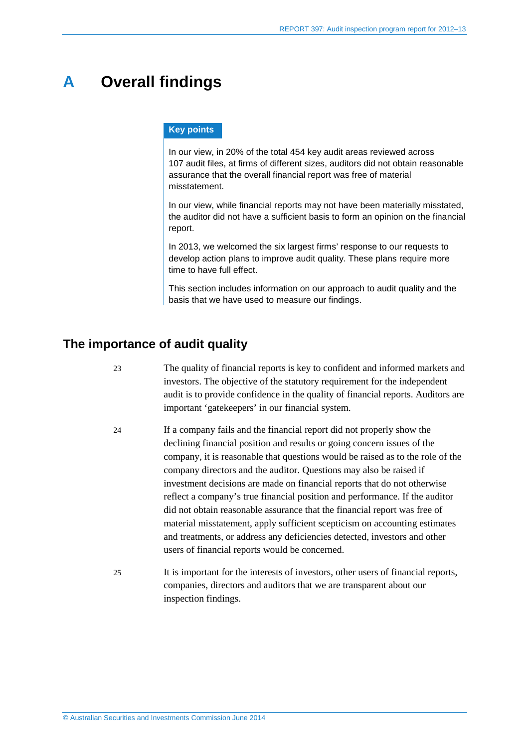## <span id="page-6-0"></span>**A Overall findings**

#### **Key points**

In our view, in 20% of the total 454 key audit areas reviewed across 107 audit files, at firms of different sizes, auditors did not obtain reasonable assurance that the overall financial report was free of material misstatement.

In our view, while financial reports may not have been materially misstated, the auditor did not have a sufficient basis to form an opinion on the financial report.

In 2013, we welcomed the six largest firms' response to our requests to develop action plans to improve audit quality. These plans require more time to have full effect.

This section includes information on our approach to audit quality and the basis that we have used to measure our findings.

## <span id="page-6-1"></span>**The importance of audit quality**

- 23 The quality of financial reports is key to confident and informed markets and investors. The objective of the statutory requirement for the independent audit is to provide confidence in the quality of financial reports. Auditors are important 'gatekeepers' in our financial system.
	- 24 If a company fails and the financial report did not properly show the declining financial position and results or going concern issues of the company, it is reasonable that questions would be raised as to the role of the company directors and the auditor. Questions may also be raised if investment decisions are made on financial reports that do not otherwise reflect a company's true financial position and performance. If the auditor did not obtain reasonable assurance that the financial report was free of material misstatement, apply sufficient scepticism on accounting estimates and treatments, or address any deficiencies detected, investors and other users of financial reports would be concerned.
- 25 It is important for the interests of investors, other users of financial reports, companies, directors and auditors that we are transparent about our inspection findings.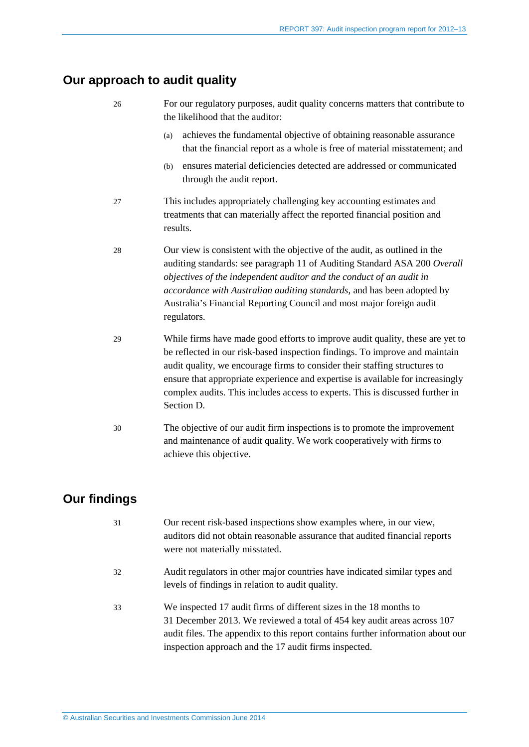## <span id="page-7-0"></span>**Our approach to audit quality**

26 For our regulatory purposes, audit quality concerns matters that contribute to the likelihood that the auditor:

- (a) achieves the fundamental objective of obtaining reasonable assurance that the financial report as a whole is free of material misstatement; and
- (b) ensures material deficiencies detected are addressed or communicated through the audit report.
- 27 This includes appropriately challenging key accounting estimates and treatments that can materially affect the reported financial position and results.
- 28 Our view is consistent with the objective of the audit, as outlined in the auditing standards: see paragraph 11 of Auditing Standard ASA 200 *Overall objectives of the independent auditor and the conduct of an audit in accordance with Australian auditing standards*, and has been adopted by Australia's Financial Reporting Council and most major foreign audit regulators.
- 29 While firms have made good efforts to improve audit quality, these are yet to be reflected in our risk-based inspection findings. To improve and maintain audit quality, we encourage firms to consider their staffing structures to ensure that appropriate experience and expertise is available for increasingly complex audits. This includes access to experts. This is discussed further in Section [D.](#page-27-0)
- 30 The objective of our audit firm inspections is to promote the improvement and maintenance of audit quality. We work cooperatively with firms to achieve this objective.

## <span id="page-7-1"></span>**Our findings**

| 31 | Our recent risk-based inspections show examples where, in our view,<br>auditors did not obtain reasonable assurance that audited financial reports<br>were not materially misstated.                                                                                                      |
|----|-------------------------------------------------------------------------------------------------------------------------------------------------------------------------------------------------------------------------------------------------------------------------------------------|
| 32 | Audit regulators in other major countries have indicated similar types and<br>levels of findings in relation to audit quality.                                                                                                                                                            |
| 33 | We inspected 17 audit firms of different sizes in the 18 months to<br>31 December 2013. We reviewed a total of 454 key audit areas across 107<br>audit files. The appendix to this report contains further information about our<br>inspection approach and the 17 audit firms inspected. |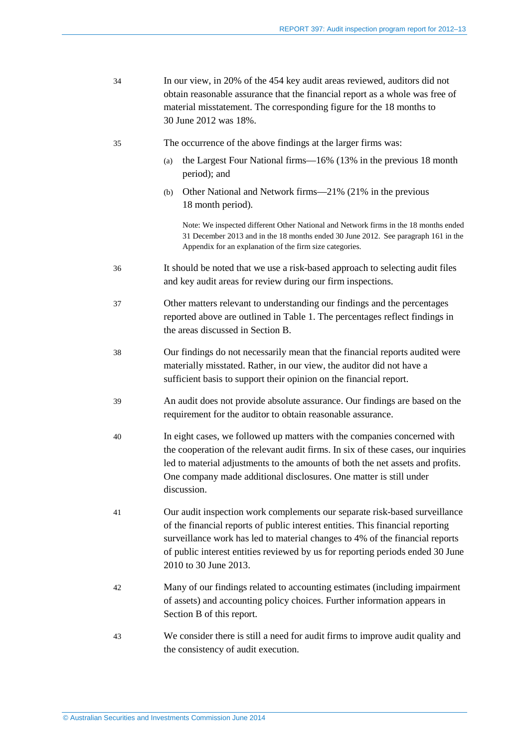<span id="page-8-3"></span><span id="page-8-2"></span><span id="page-8-1"></span><span id="page-8-0"></span>

| 34 | In our view, in 20% of the 454 key audit areas reviewed, auditors did not<br>obtain reasonable assurance that the financial report as a whole was free of<br>material misstatement. The corresponding figure for the 18 months to<br>30 June 2012 was 18%.                                                                                              |  |  |
|----|---------------------------------------------------------------------------------------------------------------------------------------------------------------------------------------------------------------------------------------------------------------------------------------------------------------------------------------------------------|--|--|
| 35 | The occurrence of the above findings at the larger firms was:                                                                                                                                                                                                                                                                                           |  |  |
|    | the Largest Four National firms—16% (13% in the previous 18 month<br>(a)<br>period); and                                                                                                                                                                                                                                                                |  |  |
|    | Other National and Network firms—21% (21% in the previous<br>(b)<br>18 month period).                                                                                                                                                                                                                                                                   |  |  |
|    | Note: We inspected different Other National and Network firms in the 18 months ended<br>31 December 2013 and in the 18 months ended 30 June 2012. See paragraph 161 in the<br>Appendix for an explanation of the firm size categories.                                                                                                                  |  |  |
| 36 | It should be noted that we use a risk-based approach to selecting audit files<br>and key audit areas for review during our firm inspections.                                                                                                                                                                                                            |  |  |
| 37 | Other matters relevant to understanding our findings and the percentages<br>reported above are outlined in Table 1. The percentages reflect findings in<br>the areas discussed in Section B.                                                                                                                                                            |  |  |
| 38 | Our findings do not necessarily mean that the financial reports audited were<br>materially misstated. Rather, in our view, the auditor did not have a<br>sufficient basis to support their opinion on the financial report.                                                                                                                             |  |  |
| 39 | An audit does not provide absolute assurance. Our findings are based on the<br>requirement for the auditor to obtain reasonable assurance.                                                                                                                                                                                                              |  |  |
| 40 | In eight cases, we followed up matters with the companies concerned with<br>the cooperation of the relevant audit firms. In six of these cases, our inquiries<br>led to material adjustments to the amounts of both the net assets and profits.<br>One company made additional disclosures. One matter is still under<br>discussion.                    |  |  |
| 41 | Our audit inspection work complements our separate risk-based surveillance<br>of the financial reports of public interest entities. This financial reporting<br>surveillance work has led to material changes to 4% of the financial reports<br>of public interest entities reviewed by us for reporting periods ended 30 June<br>2010 to 30 June 2013. |  |  |
| 42 | Many of our findings related to accounting estimates (including impairment<br>of assets) and accounting policy choices. Further information appears in<br>Section B of this report.                                                                                                                                                                     |  |  |
| 43 | We consider there is still a need for audit firms to improve audit quality and<br>the consistency of audit execution.                                                                                                                                                                                                                                   |  |  |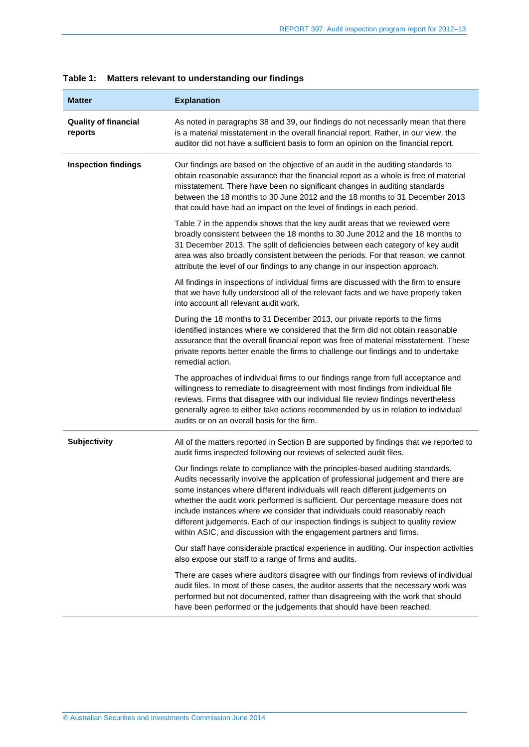| <b>Matter</b>                          | <b>Explanation</b>                                                                                                                                                                                                                                                                                                                                                                                                                                                                                                                                                                    |
|----------------------------------------|---------------------------------------------------------------------------------------------------------------------------------------------------------------------------------------------------------------------------------------------------------------------------------------------------------------------------------------------------------------------------------------------------------------------------------------------------------------------------------------------------------------------------------------------------------------------------------------|
| <b>Quality of financial</b><br>reports | As noted in paragraphs 38 and 39, our findings do not necessarily mean that there<br>is a material misstatement in the overall financial report. Rather, in our view, the<br>auditor did not have a sufficient basis to form an opinion on the financial report.                                                                                                                                                                                                                                                                                                                      |
| <b>Inspection findings</b>             | Our findings are based on the objective of an audit in the auditing standards to<br>obtain reasonable assurance that the financial report as a whole is free of material<br>misstatement. There have been no significant changes in auditing standards<br>between the 18 months to 30 June 2012 and the 18 months to 31 December 2013<br>that could have had an impact on the level of findings in each period.                                                                                                                                                                       |
|                                        | Table 7 in the appendix shows that the key audit areas that we reviewed were<br>broadly consistent between the 18 months to 30 June 2012 and the 18 months to<br>31 December 2013. The split of deficiencies between each category of key audit<br>area was also broadly consistent between the periods. For that reason, we cannot<br>attribute the level of our findings to any change in our inspection approach.                                                                                                                                                                  |
|                                        | All findings in inspections of individual firms are discussed with the firm to ensure<br>that we have fully understood all of the relevant facts and we have properly taken<br>into account all relevant audit work.                                                                                                                                                                                                                                                                                                                                                                  |
|                                        | During the 18 months to 31 December 2013, our private reports to the firms<br>identified instances where we considered that the firm did not obtain reasonable<br>assurance that the overall financial report was free of material misstatement. These<br>private reports better enable the firms to challenge our findings and to undertake<br>remedial action.                                                                                                                                                                                                                      |
|                                        | The approaches of individual firms to our findings range from full acceptance and<br>willingness to remediate to disagreement with most findings from individual file<br>reviews. Firms that disagree with our individual file review findings nevertheless<br>generally agree to either take actions recommended by us in relation to individual<br>audits or on an overall basis for the firm.                                                                                                                                                                                      |
| <b>Subjectivity</b>                    | All of the matters reported in Section B are supported by findings that we reported to<br>audit firms inspected following our reviews of selected audit files.                                                                                                                                                                                                                                                                                                                                                                                                                        |
|                                        | Our findings relate to compliance with the principles-based auditing standards.<br>Audits necessarily involve the application of professional judgement and there are<br>some instances where different individuals will reach different judgements on<br>whether the audit work performed is sufficient. Our percentage measure does not<br>include instances where we consider that individuals could reasonably reach<br>different judgements. Each of our inspection findings is subject to quality review<br>within ASIC, and discussion with the engagement partners and firms. |
|                                        | Our staff have considerable practical experience in auditing. Our inspection activities<br>also expose our staff to a range of firms and audits.                                                                                                                                                                                                                                                                                                                                                                                                                                      |
|                                        | There are cases where auditors disagree with our findings from reviews of individual<br>audit files. In most of these cases, the auditor asserts that the necessary work was<br>performed but not documented, rather than disagreeing with the work that should<br>have been performed or the judgements that should have been reached.                                                                                                                                                                                                                                               |

### <span id="page-9-0"></span>**Table 1: Matters relevant to understanding our findings**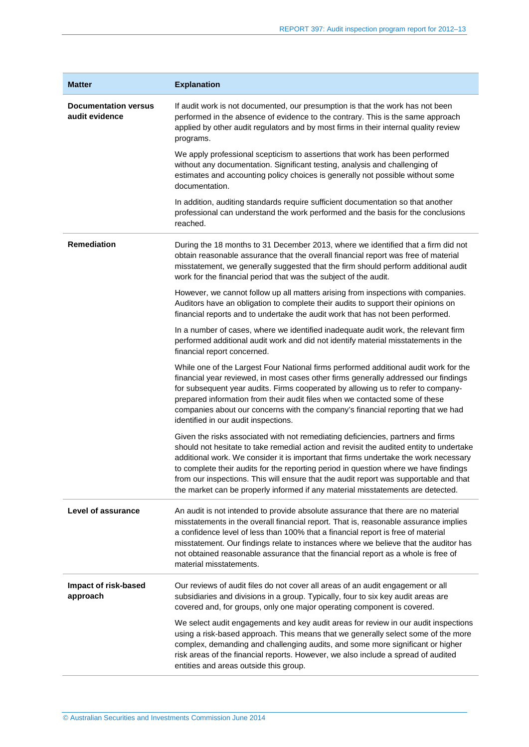| <b>Matter</b>                                 | <b>Explanation</b>                                                                                                                                                                                                                                                                                                                                                                                                                                                                                                                      |
|-----------------------------------------------|-----------------------------------------------------------------------------------------------------------------------------------------------------------------------------------------------------------------------------------------------------------------------------------------------------------------------------------------------------------------------------------------------------------------------------------------------------------------------------------------------------------------------------------------|
| <b>Documentation versus</b><br>audit evidence | If audit work is not documented, our presumption is that the work has not been<br>performed in the absence of evidence to the contrary. This is the same approach<br>applied by other audit regulators and by most firms in their internal quality review<br>programs.                                                                                                                                                                                                                                                                  |
|                                               | We apply professional scepticism to assertions that work has been performed<br>without any documentation. Significant testing, analysis and challenging of<br>estimates and accounting policy choices is generally not possible without some<br>documentation.                                                                                                                                                                                                                                                                          |
|                                               | In addition, auditing standards require sufficient documentation so that another<br>professional can understand the work performed and the basis for the conclusions<br>reached.                                                                                                                                                                                                                                                                                                                                                        |
| <b>Remediation</b>                            | During the 18 months to 31 December 2013, where we identified that a firm did not<br>obtain reasonable assurance that the overall financial report was free of material<br>misstatement, we generally suggested that the firm should perform additional audit<br>work for the financial period that was the subject of the audit.                                                                                                                                                                                                       |
|                                               | However, we cannot follow up all matters arising from inspections with companies.<br>Auditors have an obligation to complete their audits to support their opinions on<br>financial reports and to undertake the audit work that has not been performed.                                                                                                                                                                                                                                                                                |
|                                               | In a number of cases, where we identified inadequate audit work, the relevant firm<br>performed additional audit work and did not identify material misstatements in the<br>financial report concerned.                                                                                                                                                                                                                                                                                                                                 |
|                                               | While one of the Largest Four National firms performed additional audit work for the<br>financial year reviewed, in most cases other firms generally addressed our findings<br>for subsequent year audits. Firms cooperated by allowing us to refer to company-<br>prepared information from their audit files when we contacted some of these<br>companies about our concerns with the company's financial reporting that we had<br>identified in our audit inspections.                                                               |
|                                               | Given the risks associated with not remediating deficiencies, partners and firms<br>should not hesitate to take remedial action and revisit the audited entity to undertake<br>additional work. We consider it is important that firms undertake the work necessary<br>to complete their audits for the reporting period in question where we have findings<br>from our inspections. This will ensure that the audit report was supportable and that<br>the market can be properly informed if any material misstatements are detected. |
| Level of assurance                            | An audit is not intended to provide absolute assurance that there are no material<br>misstatements in the overall financial report. That is, reasonable assurance implies<br>a confidence level of less than 100% that a financial report is free of material<br>misstatement. Our findings relate to instances where we believe that the auditor has<br>not obtained reasonable assurance that the financial report as a whole is free of<br>material misstatements.                                                                   |
| Impact of risk-based<br>approach              | Our reviews of audit files do not cover all areas of an audit engagement or all<br>subsidiaries and divisions in a group. Typically, four to six key audit areas are<br>covered and, for groups, only one major operating component is covered.                                                                                                                                                                                                                                                                                         |
|                                               | We select audit engagements and key audit areas for review in our audit inspections<br>using a risk-based approach. This means that we generally select some of the more<br>complex, demanding and challenging audits, and some more significant or higher<br>risk areas of the financial reports. However, we also include a spread of audited<br>entities and areas outside this group.                                                                                                                                               |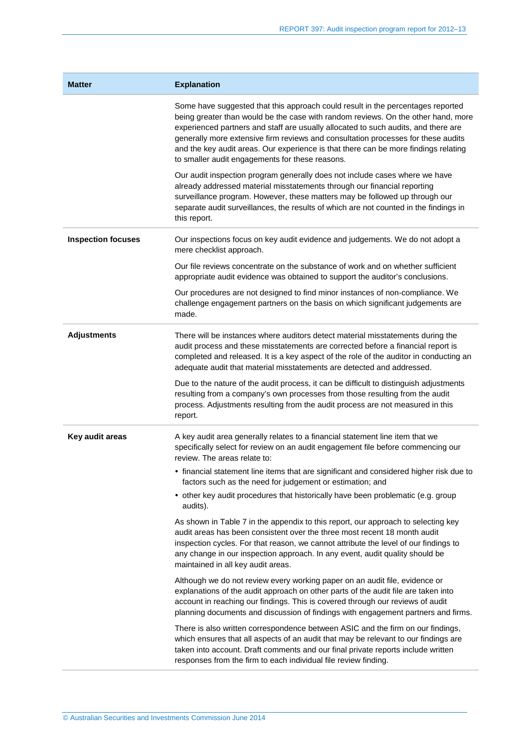| <b>Matter</b>             | <b>Explanation</b>                                                                                                                                                                                                                                                                                                                                                                                                                                                                        |
|---------------------------|-------------------------------------------------------------------------------------------------------------------------------------------------------------------------------------------------------------------------------------------------------------------------------------------------------------------------------------------------------------------------------------------------------------------------------------------------------------------------------------------|
|                           | Some have suggested that this approach could result in the percentages reported<br>being greater than would be the case with random reviews. On the other hand, more<br>experienced partners and staff are usually allocated to such audits, and there are<br>generally more extensive firm reviews and consultation processes for these audits<br>and the key audit areas. Our experience is that there can be more findings relating<br>to smaller audit engagements for these reasons. |
|                           | Our audit inspection program generally does not include cases where we have<br>already addressed material misstatements through our financial reporting<br>surveillance program. However, these matters may be followed up through our<br>separate audit surveillances, the results of which are not counted in the findings in<br>this report.                                                                                                                                           |
| <b>Inspection focuses</b> | Our inspections focus on key audit evidence and judgements. We do not adopt a<br>mere checklist approach.                                                                                                                                                                                                                                                                                                                                                                                 |
|                           | Our file reviews concentrate on the substance of work and on whether sufficient<br>appropriate audit evidence was obtained to support the auditor's conclusions.                                                                                                                                                                                                                                                                                                                          |
|                           | Our procedures are not designed to find minor instances of non-compliance. We<br>challenge engagement partners on the basis on which significant judgements are<br>made.                                                                                                                                                                                                                                                                                                                  |
| <b>Adjustments</b>        | There will be instances where auditors detect material misstatements during the<br>audit process and these misstatements are corrected before a financial report is<br>completed and released. It is a key aspect of the role of the auditor in conducting an<br>adequate audit that material misstatements are detected and addressed.                                                                                                                                                   |
|                           | Due to the nature of the audit process, it can be difficult to distinguish adjustments<br>resulting from a company's own processes from those resulting from the audit<br>process. Adjustments resulting from the audit process are not measured in this<br>report.                                                                                                                                                                                                                       |
| Key audit areas           | A key audit area generally relates to a financial statement line item that we<br>specifically select for review on an audit engagement file before commencing our<br>review. The areas relate to:                                                                                                                                                                                                                                                                                         |
|                           | • financial statement line items that are significant and considered higher risk due to<br>factors such as the need for judgement or estimation; and                                                                                                                                                                                                                                                                                                                                      |
|                           | • other key audit procedures that historically have been problematic (e.g. group<br>audits).                                                                                                                                                                                                                                                                                                                                                                                              |
|                           | As shown in Table 7 in the appendix to this report, our approach to selecting key<br>audit areas has been consistent over the three most recent 18 month audit<br>inspection cycles. For that reason, we cannot attribute the level of our findings to<br>any change in our inspection approach. In any event, audit quality should be<br>maintained in all key audit areas.                                                                                                              |
|                           | Although we do not review every working paper on an audit file, evidence or<br>explanations of the audit approach on other parts of the audit file are taken into<br>account in reaching our findings. This is covered through our reviews of audit<br>planning documents and discussion of findings with engagement partners and firms.                                                                                                                                                  |
|                           | There is also written correspondence between ASIC and the firm on our findings,<br>which ensures that all aspects of an audit that may be relevant to our findings are<br>taken into account. Draft comments and our final private reports include written<br>responses from the firm to each individual file review finding.                                                                                                                                                             |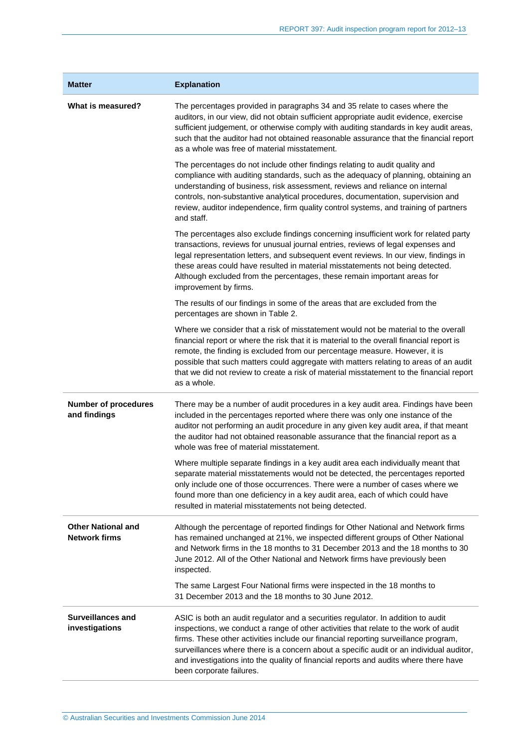| <b>Matter</b>                                     | <b>Explanation</b>                                                                                                                                                                                                                                                                                                                                                                                                                                                             |
|---------------------------------------------------|--------------------------------------------------------------------------------------------------------------------------------------------------------------------------------------------------------------------------------------------------------------------------------------------------------------------------------------------------------------------------------------------------------------------------------------------------------------------------------|
| What is measured?                                 | The percentages provided in paragraphs 34 and 35 relate to cases where the<br>auditors, in our view, did not obtain sufficient appropriate audit evidence, exercise<br>sufficient judgement, or otherwise comply with auditing standards in key audit areas,<br>such that the auditor had not obtained reasonable assurance that the financial report<br>as a whole was free of material misstatement.                                                                         |
|                                                   | The percentages do not include other findings relating to audit quality and<br>compliance with auditing standards, such as the adequacy of planning, obtaining an<br>understanding of business, risk assessment, reviews and reliance on internal<br>controls, non-substantive analytical procedures, documentation, supervision and<br>review, auditor independence, firm quality control systems, and training of partners<br>and staff.                                     |
|                                                   | The percentages also exclude findings concerning insufficient work for related party<br>transactions, reviews for unusual journal entries, reviews of legal expenses and<br>legal representation letters, and subsequent event reviews. In our view, findings in<br>these areas could have resulted in material misstatements not being detected.<br>Although excluded from the percentages, these remain important areas for<br>improvement by firms.                         |
|                                                   | The results of our findings in some of the areas that are excluded from the<br>percentages are shown in Table 2.                                                                                                                                                                                                                                                                                                                                                               |
|                                                   | Where we consider that a risk of misstatement would not be material to the overall<br>financial report or where the risk that it is material to the overall financial report is<br>remote, the finding is excluded from our percentage measure. However, it is<br>possible that such matters could aggregate with matters relating to areas of an audit<br>that we did not review to create a risk of material misstatement to the financial report<br>as a whole.             |
| <b>Number of procedures</b><br>and findings       | There may be a number of audit procedures in a key audit area. Findings have been<br>included in the percentages reported where there was only one instance of the<br>auditor not performing an audit procedure in any given key audit area, if that meant<br>the auditor had not obtained reasonable assurance that the financial report as a<br>whole was free of material misstatement.                                                                                     |
|                                                   | Where multiple separate findings in a key audit area each individually meant that<br>separate material misstatements would not be detected, the percentages reported<br>only include one of those occurrences. There were a number of cases where we<br>found more than one deficiency in a key audit area, each of which could have<br>resulted in material misstatements not being detected.                                                                                 |
| <b>Other National and</b><br><b>Network firms</b> | Although the percentage of reported findings for Other National and Network firms<br>has remained unchanged at 21%, we inspected different groups of Other National<br>and Network firms in the 18 months to 31 December 2013 and the 18 months to 30<br>June 2012. All of the Other National and Network firms have previously been<br>inspected.                                                                                                                             |
|                                                   | The same Largest Four National firms were inspected in the 18 months to<br>31 December 2013 and the 18 months to 30 June 2012.                                                                                                                                                                                                                                                                                                                                                 |
| <b>Surveillances and</b><br>investigations        | ASIC is both an audit regulator and a securities regulator. In addition to audit<br>inspections, we conduct a range of other activities that relate to the work of audit<br>firms. These other activities include our financial reporting surveillance program,<br>surveillances where there is a concern about a specific audit or an individual auditor,<br>and investigations into the quality of financial reports and audits where there have<br>been corporate failures. |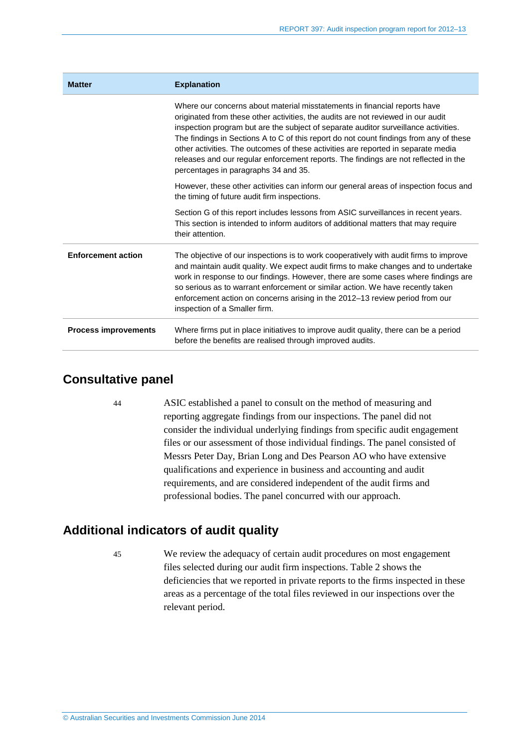| <b>Matter</b>               | <b>Explanation</b>                                                                                                                                                                                                                                                                                                                                                                                                                                                                                                                                                 |
|-----------------------------|--------------------------------------------------------------------------------------------------------------------------------------------------------------------------------------------------------------------------------------------------------------------------------------------------------------------------------------------------------------------------------------------------------------------------------------------------------------------------------------------------------------------------------------------------------------------|
|                             | Where our concerns about material misstatements in financial reports have<br>originated from these other activities, the audits are not reviewed in our audit<br>inspection program but are the subject of separate auditor surveillance activities.<br>The findings in Sections A to C of this report do not count findings from any of these<br>other activities. The outcomes of these activities are reported in separate media<br>releases and our regular enforcement reports. The findings are not reflected in the<br>percentages in paragraphs 34 and 35. |
|                             | However, these other activities can inform our general areas of inspection focus and<br>the timing of future audit firm inspections.                                                                                                                                                                                                                                                                                                                                                                                                                               |
|                             | Section G of this report includes lessons from ASIC surveillances in recent years.<br>This section is intended to inform auditors of additional matters that may require<br>their attention.                                                                                                                                                                                                                                                                                                                                                                       |
| <b>Enforcement action</b>   | The objective of our inspections is to work cooperatively with audit firms to improve<br>and maintain audit quality. We expect audit firms to make changes and to undertake<br>work in response to our findings. However, there are some cases where findings are<br>so serious as to warrant enforcement or similar action. We have recently taken<br>enforcement action on concerns arising in the 2012-13 review period from our<br>inspection of a Smaller firm.                                                                                               |
| <b>Process improvements</b> | Where firms put in place initiatives to improve audit quality, there can be a period<br>before the benefits are realised through improved audits.                                                                                                                                                                                                                                                                                                                                                                                                                  |

## <span id="page-13-0"></span>**Consultative panel**

44 ASIC established a panel to consult on the method of measuring and reporting aggregate findings from our inspections. The panel did not consider the individual underlying findings from specific audit engagement files or our assessment of those individual findings. The panel consisted of Messrs Peter Day, Brian Long and Des Pearson AO who have extensive qualifications and experience in business and accounting and audit requirements, and are considered independent of the audit firms and professional bodies. The panel concurred with our approach.

## <span id="page-13-1"></span>**Additional indicators of audit quality**

45 We review the adequacy of certain audit procedures on most engagement files selected during our audit firm inspections. [Table 2](#page-14-0) shows the deficiencies that we reported in private reports to the firms inspected in these areas as a percentage of the total files reviewed in our inspections over the relevant period.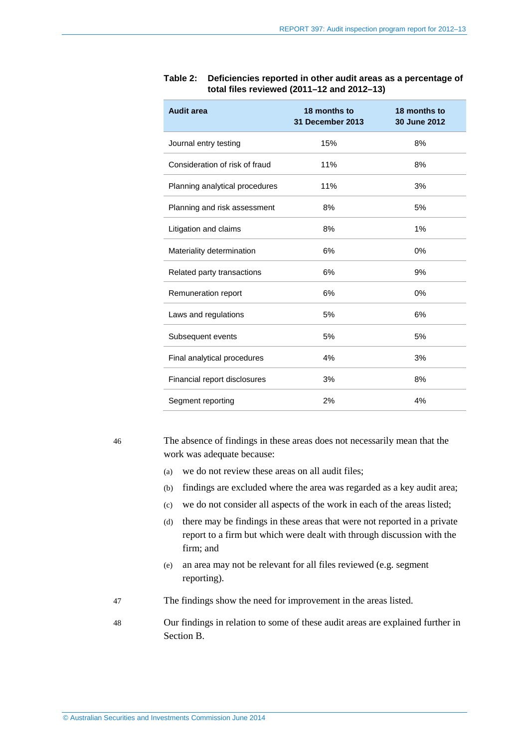| <b>Audit area</b>              | 18 months to<br>31 December 2013 | 18 months to<br>30 June 2012 |
|--------------------------------|----------------------------------|------------------------------|
| Journal entry testing          | 15%                              | 8%                           |
| Consideration of risk of fraud | 11%                              | 8%                           |
| Planning analytical procedures | 11%                              | 3%                           |
| Planning and risk assessment   | 8%                               | 5%                           |
| Litigation and claims          | 8%                               | 1%                           |
| Materiality determination      | 6%                               | $0\%$                        |
| Related party transactions     | 6%                               | 9%                           |
| Remuneration report            | 6%                               | $0\%$                        |
| Laws and regulations           | 5%                               | 6%                           |
| Subsequent events              | 5%                               | 5%                           |
| Final analytical procedures    | 4%                               | 3%                           |
| Financial report disclosures   | 3%                               | 8%                           |
| Segment reporting              | 2%                               | 4%                           |

#### <span id="page-14-0"></span>**Table 2: Deficiencies reported in other audit areas as a percentage of total files reviewed (2011–12 and 2012–13)**

46 The absence of findings in these areas does not necessarily mean that the work was adequate because:

- (a) we do not review these areas on all audit files;
- (b) findings are excluded where the area was regarded as a key audit area;
- (c) we do not consider all aspects of the work in each of the areas listed;
- (d) there may be findings in these areas that were not reported in a private report to a firm but which were dealt with through discussion with the firm; and
- (e) an area may not be relevant for all files reviewed (e.g. segment reporting).
- 47 The findings show the need for improvement in the areas listed.
- 48 Our findings in relation to some of these audit areas are explained further in Section [B.](#page-15-0)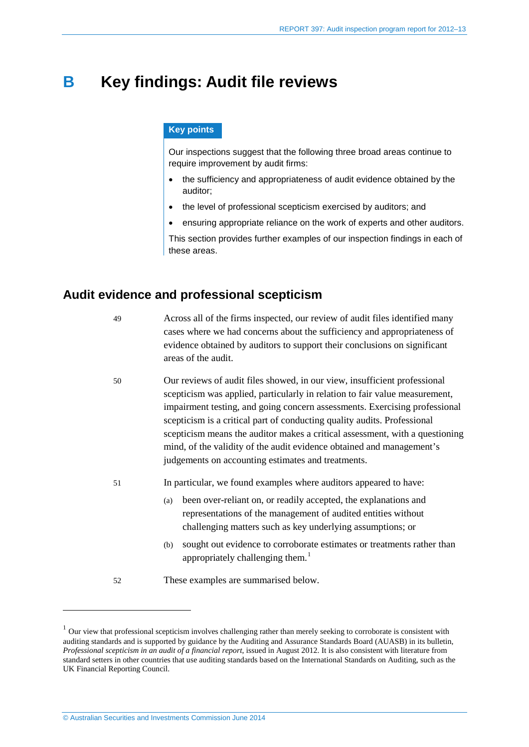## <span id="page-15-0"></span>**B Key findings: Audit file reviews**

#### **Key points**

Our inspections suggest that the following three broad areas continue to require improvement by audit firms:

- the sufficiency and appropriateness of audit evidence obtained by the auditor;
- the level of professional scepticism exercised by auditors; and
- ensuring appropriate reliance on the work of experts and other auditors.

This section provides further examples of our inspection findings in each of these areas.

### <span id="page-15-3"></span><span id="page-15-1"></span>**Audit evidence and professional scepticism**

49 Across all of the firms inspected, our review of audit files identified many cases where we had concerns about the sufficiency and appropriateness of evidence obtained by auditors to support their conclusions on significant areas of the audit.

- 50 Our reviews of audit files showed, in our view, insufficient professional scepticism was applied, particularly in relation to fair value measurement, impairment testing, and going concern assessments. Exercising professional scepticism is a critical part of conducting quality audits. Professional scepticism means the auditor makes a critical assessment, with a questioning mind, of the validity of the audit evidence obtained and management's judgements on accounting estimates and treatments.
- 51 In particular, we found examples where auditors appeared to have:
	- (a) been over-reliant on, or readily accepted, the explanations and representations of the management of audited entities without challenging matters such as key underlying assumptions; or
	- (b) sought out evidence to corroborate estimates or treatments rather than appropriately challenging them.<sup>[1](#page-15-2)</sup>
- 52 These examples are summarised below.

-

<span id="page-15-2"></span> $1$  Our view that professional scepticism involves challenging rather than merely seeking to corroborate is consistent with auditing standards and is supported by guidance by the Auditing and Assurance Standards Board (AUASB) in its bulletin, *Professional scepticism in an audit of a financial report*, issued in August 2012. It is also consistent with literature from standard setters in other countries that use auditing standards based on the International Standards on Auditing, such as the UK Financial Reporting Council.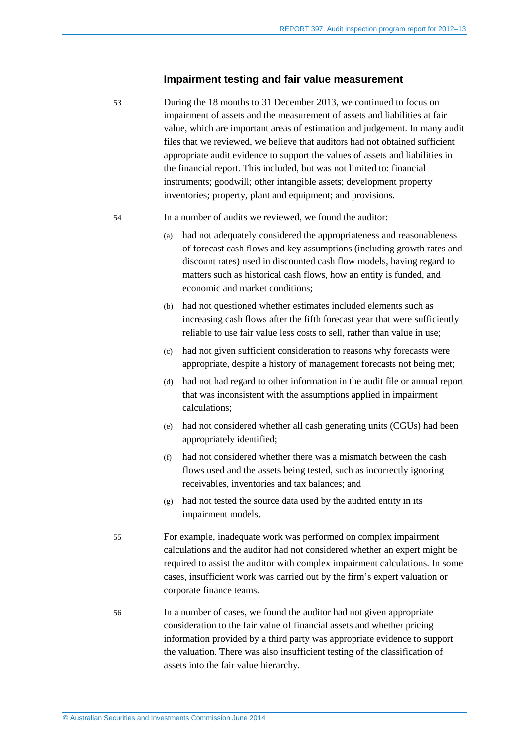#### **Impairment testing and fair value measurement**

53 During the 18 months to 31 December 2013, we continued to focus on impairment of assets and the measurement of assets and liabilities at fair value, which are important areas of estimation and judgement. In many audit files that we reviewed, we believe that auditors had not obtained sufficient appropriate audit evidence to support the values of assets and liabilities in the financial report. This included, but was not limited to: financial instruments; goodwill; other intangible assets; development property inventories; property, plant and equipment; and provisions.

- 54 In a number of audits we reviewed, we found the auditor:
	- (a) had not adequately considered the appropriateness and reasonableness of forecast cash flows and key assumptions (including growth rates and discount rates) used in discounted cash flow models, having regard to matters such as historical cash flows, how an entity is funded, and economic and market conditions;
	- (b) had not questioned whether estimates included elements such as increasing cash flows after the fifth forecast year that were sufficiently reliable to use fair value less costs to sell, rather than value in use;
	- (c) had not given sufficient consideration to reasons why forecasts were appropriate, despite a history of management forecasts not being met;
	- (d) had not had regard to other information in the audit file or annual report that was inconsistent with the assumptions applied in impairment calculations;
	- (e) had not considered whether all cash generating units (CGUs) had been appropriately identified;
	- (f) had not considered whether there was a mismatch between the cash flows used and the assets being tested, such as incorrectly ignoring receivables, inventories and tax balances; and
	- (g) had not tested the source data used by the audited entity in its impairment models.
- 55 For example, inadequate work was performed on complex impairment calculations and the auditor had not considered whether an expert might be required to assist the auditor with complex impairment calculations. In some cases, insufficient work was carried out by the firm's expert valuation or corporate finance teams.
- 56 In a number of cases, we found the auditor had not given appropriate consideration to the fair value of financial assets and whether pricing information provided by a third party was appropriate evidence to support the valuation. There was also insufficient testing of the classification of assets into the fair value hierarchy.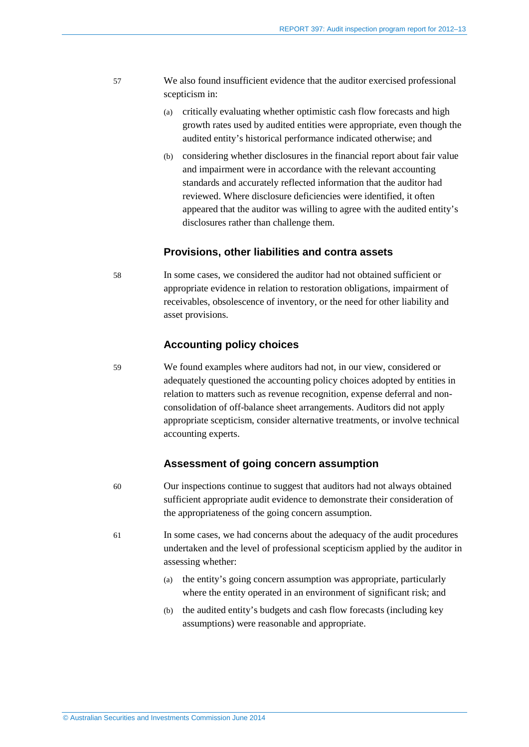- 57 We also found insufficient evidence that the auditor exercised professional scepticism in:
	- (a) critically evaluating whether optimistic cash flow forecasts and high growth rates used by audited entities were appropriate, even though the audited entity's historical performance indicated otherwise; and
	- (b) considering whether disclosures in the financial report about fair value and impairment were in accordance with the relevant accounting standards and accurately reflected information that the auditor had reviewed. Where disclosure deficiencies were identified, it often appeared that the auditor was willing to agree with the audited entity's disclosures rather than challenge them.

#### **Provisions, other liabilities and contra assets**

58 In some cases, we considered the auditor had not obtained sufficient or appropriate evidence in relation to restoration obligations, impairment of receivables, obsolescence of inventory, or the need for other liability and asset provisions.

#### **Accounting policy choices**

59 We found examples where auditors had not, in our view, considered or adequately questioned the accounting policy choices adopted by entities in relation to matters such as revenue recognition, expense deferral and nonconsolidation of off-balance sheet arrangements. Auditors did not apply appropriate scepticism, consider alternative treatments, or involve technical accounting experts.

#### **Assessment of going concern assumption**

- 60 Our inspections continue to suggest that auditors had not always obtained sufficient appropriate audit evidence to demonstrate their consideration of the appropriateness of the going concern assumption.
- 61 In some cases, we had concerns about the adequacy of the audit procedures undertaken and the level of professional scepticism applied by the auditor in assessing whether:
	- (a) the entity's going concern assumption was appropriate, particularly where the entity operated in an environment of significant risk; and
	- (b) the audited entity's budgets and cash flow forecasts (including key assumptions) were reasonable and appropriate.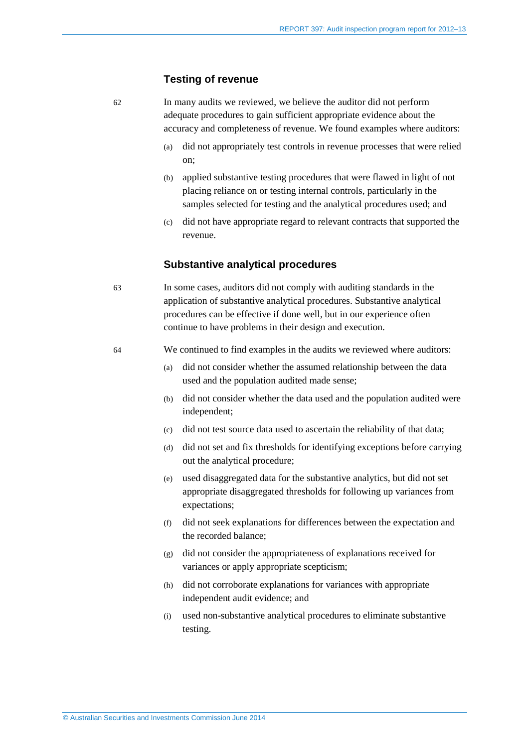#### **Testing of revenue**

62 In many audits we reviewed, we believe the auditor did not perform adequate procedures to gain sufficient appropriate evidence about the accuracy and completeness of revenue. We found examples where auditors:

- (a) did not appropriately test controls in revenue processes that were relied on;
- (b) applied substantive testing procedures that were flawed in light of not placing reliance on or testing internal controls, particularly in the samples selected for testing and the analytical procedures used; and
- (c) did not have appropriate regard to relevant contracts that supported the revenue.

#### **Substantive analytical procedures**

63 In some cases, auditors did not comply with auditing standards in the application of substantive analytical procedures. Substantive analytical procedures can be effective if done well, but in our experience often continue to have problems in their design and execution.

<span id="page-18-0"></span>64 We continued to find examples in the audits we reviewed where auditors:

- (a) did not consider whether the assumed relationship between the data used and the population audited made sense;
- (b) did not consider whether the data used and the population audited were independent;
- (c) did not test source data used to ascertain the reliability of that data;
- (d) did not set and fix thresholds for identifying exceptions before carrying out the analytical procedure;
- (e) used disaggregated data for the substantive analytics, but did not set appropriate disaggregated thresholds for following up variances from expectations;
- (f) did not seek explanations for differences between the expectation and the recorded balance;
- (g) did not consider the appropriateness of explanations received for variances or apply appropriate scepticism;
- (h) did not corroborate explanations for variances with appropriate independent audit evidence; and
- (i) used non-substantive analytical procedures to eliminate substantive testing.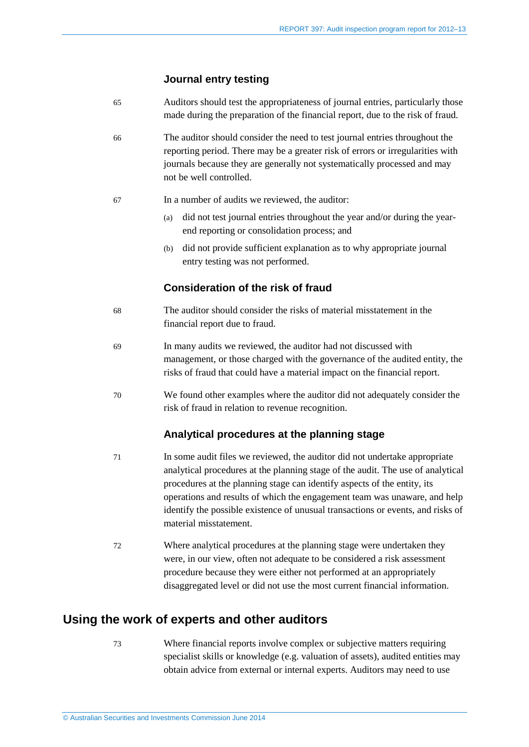#### **Journal entry testing**

- 65 Auditors should test the appropriateness of journal entries, particularly those made during the preparation of the financial report, due to the risk of fraud.
- 66 The auditor should consider the need to test journal entries throughout the reporting period. There may be a greater risk of errors or irregularities with journals because they are generally not systematically processed and may not be well controlled.
- 67 In a number of audits we reviewed, the auditor:
	- (a) did not test journal entries throughout the year and/or during the yearend reporting or consolidation process; and
	- (b) did not provide sufficient explanation as to why appropriate journal entry testing was not performed.

### **Consideration of the risk of fraud**

- 68 The auditor should consider the risks of material misstatement in the financial report due to fraud.
- 69 In many audits we reviewed, the auditor had not discussed with management, or those charged with the governance of the audited entity, the risks of fraud that could have a material impact on the financial report.
- 70 We found other examples where the auditor did not adequately consider the risk of fraud in relation to revenue recognition.

#### **Analytical procedures at the planning stage**

- 71 In some audit files we reviewed, the auditor did not undertake appropriate analytical procedures at the planning stage of the audit. The use of analytical procedures at the planning stage can identify aspects of the entity, its operations and results of which the engagement team was unaware, and help identify the possible existence of unusual transactions or events, and risks of material misstatement.
- 72 Where analytical procedures at the planning stage were undertaken they were, in our view, often not adequate to be considered a risk assessment procedure because they were either not performed at an appropriately disaggregated level or did not use the most current financial information.

## <span id="page-19-0"></span>**Using the work of experts and other auditors**

73 Where financial reports involve complex or subjective matters requiring specialist skills or knowledge (e.g. valuation of assets), audited entities may obtain advice from external or internal experts. Auditors may need to use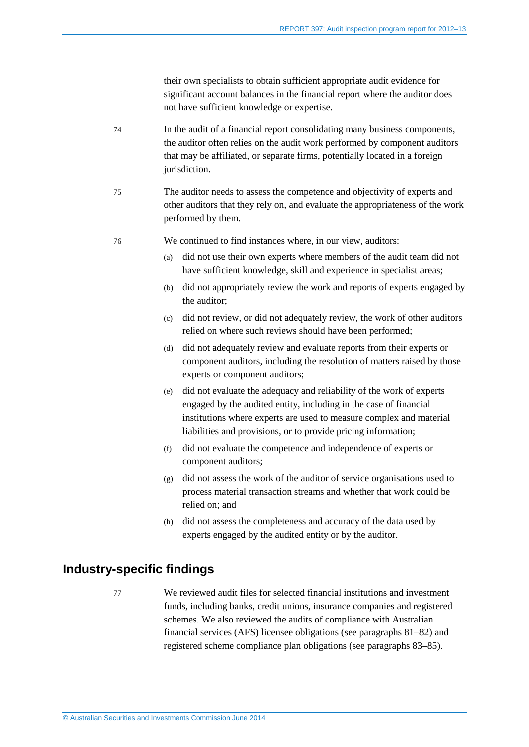their own specialists to obtain sufficient appropriate audit evidence for significant account balances in the financial report where the auditor does not have sufficient knowledge or expertise.

- 74 In the audit of a financial report consolidating many business components, the auditor often relies on the audit work performed by component auditors that may be affiliated, or separate firms, potentially located in a foreign jurisdiction.
- 75 The auditor needs to assess the competence and objectivity of experts and other auditors that they rely on, and evaluate the appropriateness of the work performed by them.
- <span id="page-20-1"></span>76 We continued to find instances where, in our view, auditors:
	- (a) did not use their own experts where members of the audit team did not have sufficient knowledge, skill and experience in specialist areas;
	- (b) did not appropriately review the work and reports of experts engaged by the auditor;
	- (c) did not review, or did not adequately review, the work of other auditors relied on where such reviews should have been performed;
	- (d) did not adequately review and evaluate reports from their experts or component auditors, including the resolution of matters raised by those experts or component auditors;
	- (e) did not evaluate the adequacy and reliability of the work of experts engaged by the audited entity, including in the case of financial institutions where experts are used to measure complex and material liabilities and provisions, or to provide pricing information;
	- (f) did not evaluate the competence and independence of experts or component auditors;
	- (g) did not assess the work of the auditor of service organisations used to process material transaction streams and whether that work could be relied on; and
	- (h) did not assess the completeness and accuracy of the data used by experts engaged by the audited entity or by the auditor.

### <span id="page-20-0"></span>**Industry-specific findings**

77 We reviewed audit files for selected financial institutions and investment funds, including banks, credit unions, insurance companies and registered schemes. We also reviewed the audits of compliance with Australian financial services (AFS) licensee obligations (see paragraphs [81](#page-22-0)[–82\)](#page-22-1) and registered scheme compliance plan obligations (see paragraphs [83–](#page-23-0)[85\)](#page-23-1).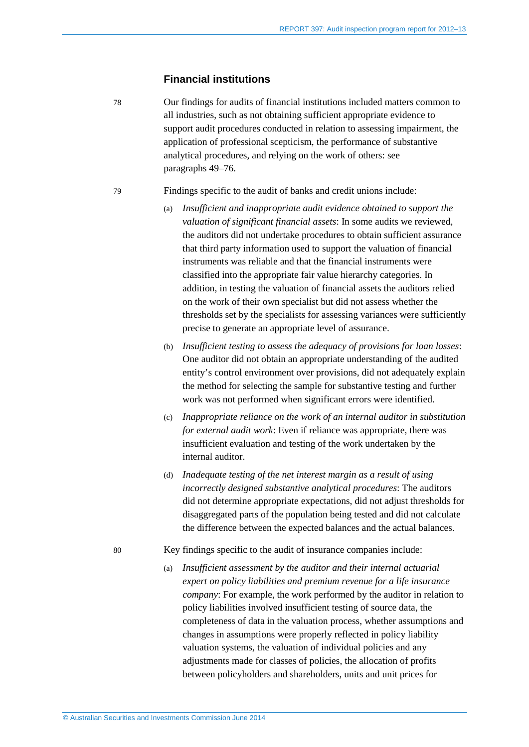#### **Financial institutions**

78 Our findings for audits of financial institutions included matters common to all industries, such as not obtaining sufficient appropriate evidence to support audit procedures conducted in relation to assessing impairment, the application of professional scepticism, the performance of substantive analytical procedures, and relying on the work of others: see paragraphs [49–](#page-15-3)[76.](#page-20-1)

79 Findings specific to the audit of banks and credit unions include:

- (a) *Insufficient and inappropriate audit evidence obtained to support the valuation of significant financial assets*: In some audits we reviewed, the auditors did not undertake procedures to obtain sufficient assurance that third party information used to support the valuation of financial instruments was reliable and that the financial instruments were classified into the appropriate fair value hierarchy categories. In addition, in testing the valuation of financial assets the auditors relied on the work of their own specialist but did not assess whether the thresholds set by the specialists for assessing variances were sufficiently precise to generate an appropriate level of assurance.
- (b) *Insufficient testing to assess the adequacy of provisions for loan losses*: One auditor did not obtain an appropriate understanding of the audited entity's control environment over provisions, did not adequately explain the method for selecting the sample for substantive testing and further work was not performed when significant errors were identified.
- (c) *Inappropriate reliance on the work of an internal auditor in substitution for external audit work*: Even if reliance was appropriate, there was insufficient evaluation and testing of the work undertaken by the internal auditor.
- (d) *Inadequate testing of the net interest margin as a result of using incorrectly designed substantive analytical procedures*: The auditors did not determine appropriate expectations, did not adjust thresholds for disaggregated parts of the population being tested and did not calculate the difference between the expected balances and the actual balances.

80 Key findings specific to the audit of insurance companies include:

(a) *Insufficient assessment by the auditor and their internal actuarial expert on policy liabilities and premium revenue for a life insurance company*: For example, the work performed by the auditor in relation to policy liabilities involved insufficient testing of source data, the completeness of data in the valuation process, whether assumptions and changes in assumptions were properly reflected in policy liability valuation systems, the valuation of individual policies and any adjustments made for classes of policies, the allocation of profits between policyholders and shareholders, units and unit prices for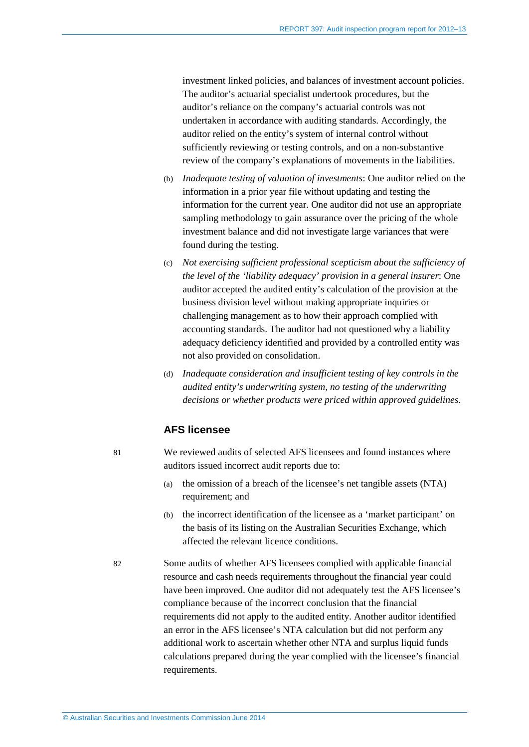investment linked policies, and balances of investment account policies. The auditor's actuarial specialist undertook procedures, but the auditor's reliance on the company's actuarial controls was not undertaken in accordance with auditing standards. Accordingly, the auditor relied on the entity's system of internal control without sufficiently reviewing or testing controls, and on a non-substantive review of the company's explanations of movements in the liabilities.

- (b) *Inadequate testing of valuation of investments*: One auditor relied on the information in a prior year file without updating and testing the information for the current year. One auditor did not use an appropriate sampling methodology to gain assurance over the pricing of the whole investment balance and did not investigate large variances that were found during the testing.
- (c) *Not exercising sufficient professional scepticism about the sufficiency of the level of the 'liability adequacy' provision in a general insurer*: One auditor accepted the audited entity's calculation of the provision at the business division level without making appropriate inquiries or challenging management as to how their approach complied with accounting standards. The auditor had not questioned why a liability adequacy deficiency identified and provided by a controlled entity was not also provided on consolidation.
- (d) *Inadequate consideration and insufficient testing of key controls in the audited entity's underwriting system, no testing of the underwriting decisions or whether products were priced within approved guidelines*.

### **AFS licensee**

<span id="page-22-0"></span>81 We reviewed audits of selected AFS licensees and found instances where auditors issued incorrect audit reports due to:

- (a) the omission of a breach of the licensee's net tangible assets (NTA) requirement; and
- (b) the incorrect identification of the licensee as a 'market participant' on the basis of its listing on the Australian Securities Exchange, which affected the relevant licence conditions.
- 

<span id="page-22-1"></span>82 Some audits of whether AFS licensees complied with applicable financial resource and cash needs requirements throughout the financial year could have been improved. One auditor did not adequately test the AFS licensee's compliance because of the incorrect conclusion that the financial requirements did not apply to the audited entity. Another auditor identified an error in the AFS licensee's NTA calculation but did not perform any additional work to ascertain whether other NTA and surplus liquid funds calculations prepared during the year complied with the licensee's financial requirements.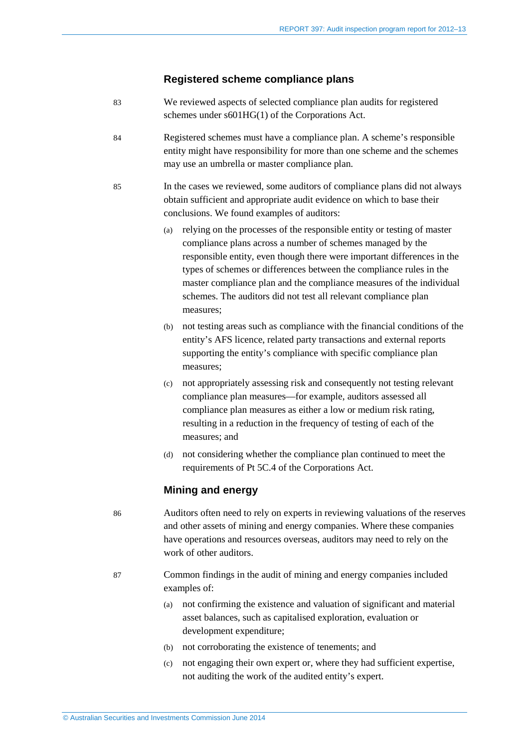#### **Registered scheme compliance plans**

- <span id="page-23-0"></span>83 We reviewed aspects of selected compliance plan audits for registered schemes under s601HG(1) of the Corporations Act.
- 84 Registered schemes must have a compliance plan. A scheme's responsible entity might have responsibility for more than one scheme and the schemes may use an umbrella or master compliance plan.
- <span id="page-23-1"></span>85 In the cases we reviewed, some auditors of compliance plans did not always obtain sufficient and appropriate audit evidence on which to base their conclusions. We found examples of auditors:
	- (a) relying on the processes of the responsible entity or testing of master compliance plans across a number of schemes managed by the responsible entity, even though there were important differences in the types of schemes or differences between the compliance rules in the master compliance plan and the compliance measures of the individual schemes. The auditors did not test all relevant compliance plan measures;
	- (b) not testing areas such as compliance with the financial conditions of the entity's AFS licence, related party transactions and external reports supporting the entity's compliance with specific compliance plan measures;
	- (c) not appropriately assessing risk and consequently not testing relevant compliance plan measures—for example, auditors assessed all compliance plan measures as either a low or medium risk rating, resulting in a reduction in the frequency of testing of each of the measures; and
	- (d) not considering whether the compliance plan continued to meet the requirements of Pt 5C.4 of the Corporations Act.

#### **Mining and energy**

86 Auditors often need to rely on experts in reviewing valuations of the reserves and other assets of mining and energy companies. Where these companies have operations and resources overseas, auditors may need to rely on the work of other auditors.

- 87 Common findings in the audit of mining and energy companies included examples of:
	- (a) not confirming the existence and valuation of significant and material asset balances, such as capitalised exploration, evaluation or development expenditure;
	- (b) not corroborating the existence of tenements; and
	- (c) not engaging their own expert or, where they had sufficient expertise, not auditing the work of the audited entity's expert.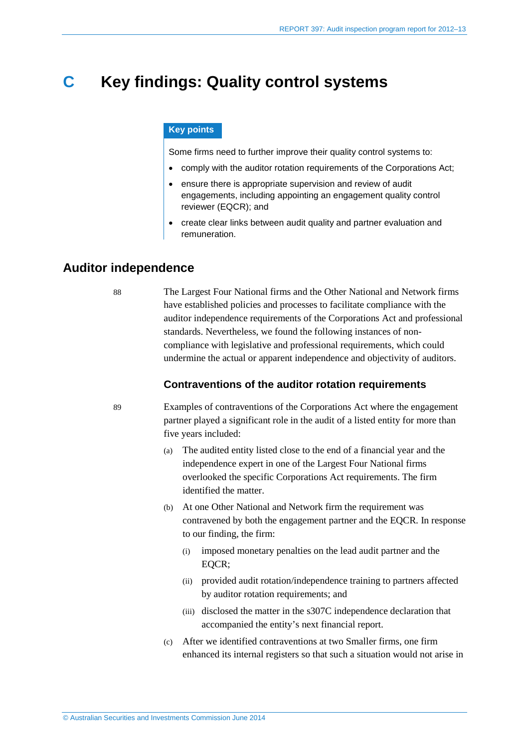## <span id="page-24-0"></span>**C Key findings: Quality control systems**

#### **Key points**

Some firms need to further improve their quality control systems to:

- comply with the auditor rotation requirements of the Corporations Act;
- ensure there is appropriate supervision and review of audit engagements, including appointing an engagement quality control reviewer (EQCR); and
- create clear links between audit quality and partner evaluation and remuneration.

## <span id="page-24-1"></span>**Auditor independence**

88 The Largest Four National firms and the Other National and Network firms have established policies and processes to facilitate compliance with the auditor independence requirements of the Corporations Act and professional standards. Nevertheless, we found the following instances of noncompliance with legislative and professional requirements, which could undermine the actual or apparent independence and objectivity of auditors.

#### **Contraventions of the auditor rotation requirements**

89 Examples of contraventions of the Corporations Act where the engagement partner played a significant role in the audit of a listed entity for more than five years included:

- (a) The audited entity listed close to the end of a financial year and the independence expert in one of the Largest Four National firms overlooked the specific Corporations Act requirements. The firm identified the matter.
- (b) At one Other National and Network firm the requirement was contravened by both the engagement partner and the EQCR. In response to our finding, the firm:
	- (i) imposed monetary penalties on the lead audit partner and the EQCR;
	- (ii) provided audit rotation/independence training to partners affected by auditor rotation requirements; and
	- (iii) disclosed the matter in the s307C independence declaration that accompanied the entity's next financial report.
- (c) After we identified contraventions at two Smaller firms, one firm enhanced its internal registers so that such a situation would not arise in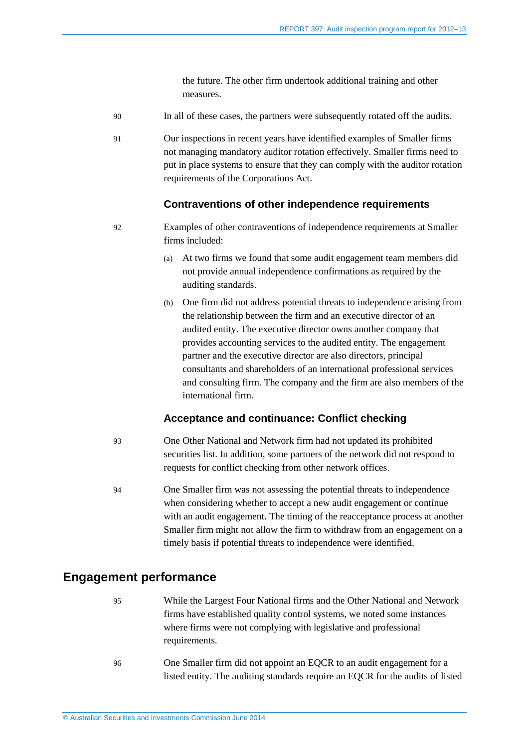the future. The other firm undertook additional training and other measures.

- 90 In all of these cases, the partners were subsequently rotated off the audits.
- 91 Our inspections in recent years have identified examples of Smaller firms not managing mandatory auditor rotation effectively. Smaller firms need to put in place systems to ensure that they can comply with the auditor rotation requirements of the Corporations Act.

#### **Contraventions of other independence requirements**

- 92 Examples of other contraventions of independence requirements at Smaller firms included:
	- (a) At two firms we found that some audit engagement team members did not provide annual independence confirmations as required by the auditing standards.
	- (b) One firm did not address potential threats to independence arising from the relationship between the firm and an executive director of an audited entity. The executive director owns another company that provides accounting services to the audited entity. The engagement partner and the executive director are also directors, principal consultants and shareholders of an international professional services and consulting firm. The company and the firm are also members of the international firm.

#### **Acceptance and continuance: Conflict checking**

- 93 One Other National and Network firm had not updated its prohibited securities list. In addition, some partners of the network did not respond to requests for conflict checking from other network offices.
- 94 One Smaller firm was not assessing the potential threats to independence when considering whether to accept a new audit engagement or continue with an audit engagement. The timing of the reacceptance process at another Smaller firm might not allow the firm to withdraw from an engagement on a timely basis if potential threats to independence were identified.

### <span id="page-25-0"></span>**Engagement performance**

- 95 While the Largest Four National firms and the Other National and Network firms have established quality control systems, we noted some instances where firms were not complying with legislative and professional requirements.
- 96 One Smaller firm did not appoint an EQCR to an audit engagement for a listed entity. The auditing standards require an EQCR for the audits of listed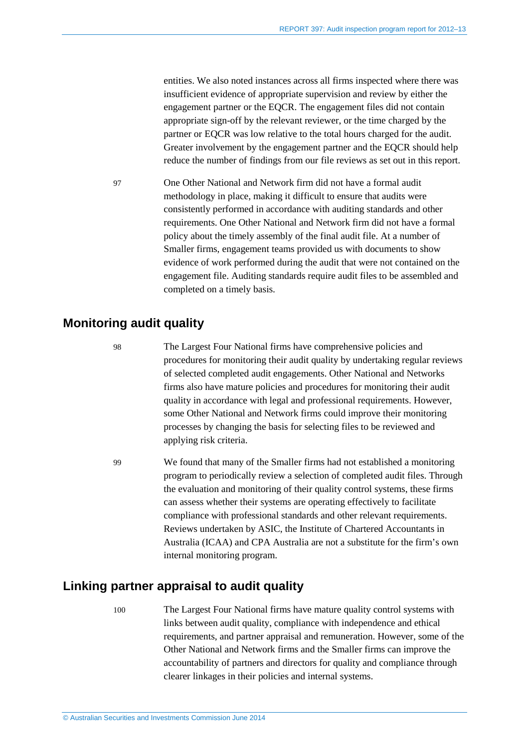entities. We also noted instances across all firms inspected where there was insufficient evidence of appropriate supervision and review by either the engagement partner or the EQCR. The engagement files did not contain appropriate sign-off by the relevant reviewer, or the time charged by the partner or EQCR was low relative to the total hours charged for the audit. Greater involvement by the engagement partner and the EQCR should help reduce the number of findings from our file reviews as set out in this report.

97 One Other National and Network firm did not have a formal audit methodology in place, making it difficult to ensure that audits were consistently performed in accordance with auditing standards and other requirements. One Other National and Network firm did not have a formal policy about the timely assembly of the final audit file. At a number of Smaller firms, engagement teams provided us with documents to show evidence of work performed during the audit that were not contained on the engagement file. Auditing standards require audit files to be assembled and completed on a timely basis.

### <span id="page-26-0"></span>**Monitoring audit quality**

98 The Largest Four National firms have comprehensive policies and procedures for monitoring their audit quality by undertaking regular reviews of selected completed audit engagements. Other National and Networks firms also have mature policies and procedures for monitoring their audit quality in accordance with legal and professional requirements. However, some Other National and Network firms could improve their monitoring processes by changing the basis for selecting files to be reviewed and applying risk criteria.

99 We found that many of the Smaller firms had not established a monitoring program to periodically review a selection of completed audit files. Through the evaluation and monitoring of their quality control systems, these firms can assess whether their systems are operating effectively to facilitate compliance with professional standards and other relevant requirements. Reviews undertaken by ASIC, the Institute of Chartered Accountants in Australia (ICAA) and CPA Australia are not a substitute for the firm's own internal monitoring program.

## <span id="page-26-1"></span>**Linking partner appraisal to audit quality**

100 The Largest Four National firms have mature quality control systems with links between audit quality, compliance with independence and ethical requirements, and partner appraisal and remuneration. However, some of the Other National and Network firms and the Smaller firms can improve the accountability of partners and directors for quality and compliance through clearer linkages in their policies and internal systems.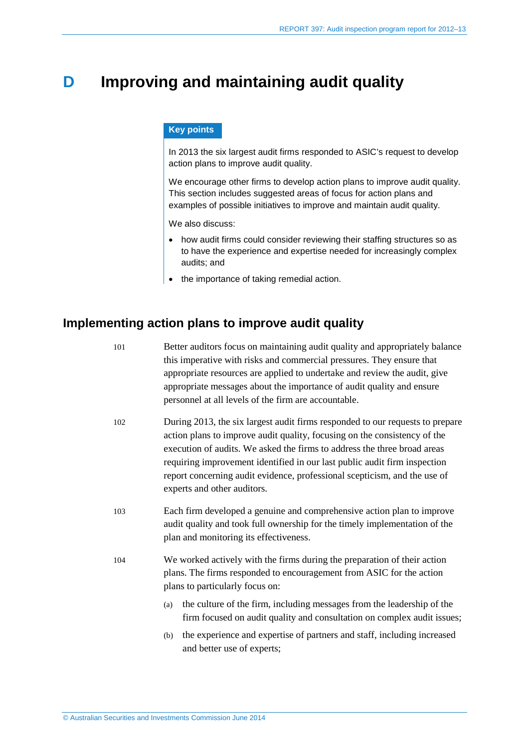## <span id="page-27-0"></span>**D Improving and maintaining audit quality**

#### **Key points**

In 2013 the six largest audit firms responded to ASIC's request to develop action plans to improve audit quality.

We encourage other firms to develop action plans to improve audit quality. This section includes suggested areas of focus for action plans and examples of possible initiatives to improve and maintain audit quality.

We also discuss:

- how audit firms could consider reviewing their staffing structures so as to have the experience and expertise needed for increasingly complex audits; and
- the importance of taking remedial action.

## <span id="page-27-1"></span>**Implementing action plans to improve audit quality**

| 101 |                                                                                                                                                                                     | Better auditors focus on maintaining audit quality and appropriately balance<br>this imperative with risks and commercial pressures. They ensure that<br>appropriate resources are applied to undertake and review the audit, give<br>appropriate messages about the importance of audit quality and ensure<br>personnel at all levels of the firm are accountable.                                                             |  |
|-----|-------------------------------------------------------------------------------------------------------------------------------------------------------------------------------------|---------------------------------------------------------------------------------------------------------------------------------------------------------------------------------------------------------------------------------------------------------------------------------------------------------------------------------------------------------------------------------------------------------------------------------|--|
| 102 |                                                                                                                                                                                     | During 2013, the six largest audit firms responded to our requests to prepare<br>action plans to improve audit quality, focusing on the consistency of the<br>execution of audits. We asked the firms to address the three broad areas<br>requiring improvement identified in our last public audit firm inspection<br>report concerning audit evidence, professional scepticism, and the use of<br>experts and other auditors. |  |
| 103 |                                                                                                                                                                                     | Each firm developed a genuine and comprehensive action plan to improve<br>audit quality and took full ownership for the timely implementation of the<br>plan and monitoring its effectiveness.                                                                                                                                                                                                                                  |  |
| 104 | We worked actively with the firms during the preparation of their action<br>plans. The firms responded to encouragement from ASIC for the action<br>plans to particularly focus on: |                                                                                                                                                                                                                                                                                                                                                                                                                                 |  |
|     | (a)                                                                                                                                                                                 | the culture of the firm, including messages from the leadership of the<br>firm focused on audit quality and consultation on complex audit issues;                                                                                                                                                                                                                                                                               |  |
|     | (b)                                                                                                                                                                                 | the experience and expertise of partners and staff, including increased<br>and better use of experts;                                                                                                                                                                                                                                                                                                                           |  |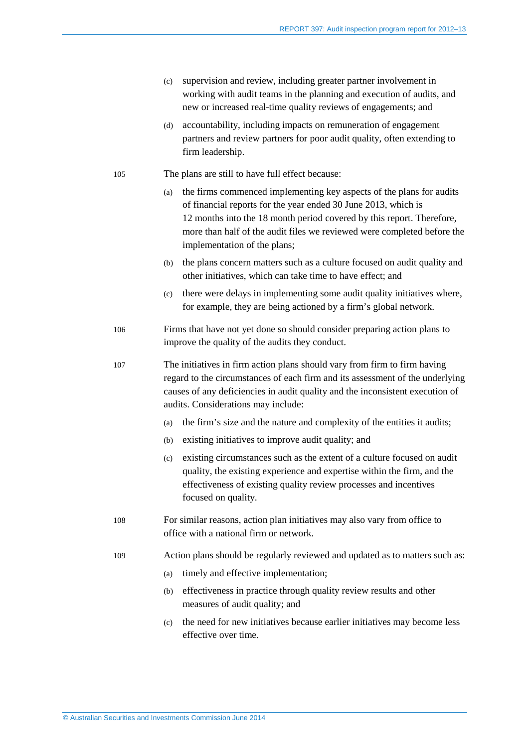- (c) supervision and review, including greater partner involvement in working with audit teams in the planning and execution of audits, and new or increased real-time quality reviews of engagements; and
- (d) accountability, including impacts on remuneration of engagement partners and review partners for poor audit quality, often extending to firm leadership.
- 105 The plans are still to have full effect because:
	- (a) the firms commenced implementing key aspects of the plans for audits of financial reports for the year ended 30 June 2013, which is 12 months into the 18 month period covered by this report. Therefore, more than half of the audit files we reviewed were completed before the implementation of the plans;
	- (b) the plans concern matters such as a culture focused on audit quality and other initiatives, which can take time to have effect; and
	- (c) there were delays in implementing some audit quality initiatives where, for example, they are being actioned by a firm's global network.
- 106 Firms that have not yet done so should consider preparing action plans to improve the quality of the audits they conduct.
- 107 The initiatives in firm action plans should vary from firm to firm having regard to the circumstances of each firm and its assessment of the underlying causes of any deficiencies in audit quality and the inconsistent execution of audits. Considerations may include:
	- (a) the firm's size and the nature and complexity of the entities it audits;
	- (b) existing initiatives to improve audit quality; and
	- (c) existing circumstances such as the extent of a culture focused on audit quality, the existing experience and expertise within the firm, and the effectiveness of existing quality review processes and incentives focused on quality.
- 108 For similar reasons, action plan initiatives may also vary from office to office with a national firm or network.
- 109 Action plans should be regularly reviewed and updated as to matters such as:
	- (a) timely and effective implementation;
	- (b) effectiveness in practice through quality review results and other measures of audit quality; and
	- (c) the need for new initiatives because earlier initiatives may become less effective over time.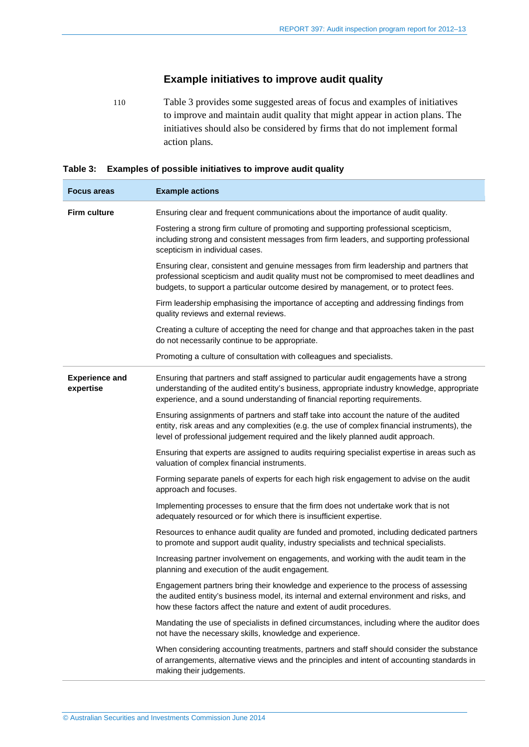## **Example initiatives to improve audit quality**

110 [Table 3](#page-29-0) provides some suggested areas of focus and examples of initiatives to improve and maintain audit quality that might appear in action plans. The initiatives should also be considered by firms that do not implement formal action plans.

#### <span id="page-29-0"></span>**Table 3: Examples of possible initiatives to improve audit quality**

| <b>Focus areas</b>                 | <b>Example actions</b>                                                                                                                                                                                                                                                    |
|------------------------------------|---------------------------------------------------------------------------------------------------------------------------------------------------------------------------------------------------------------------------------------------------------------------------|
| <b>Firm culture</b>                | Ensuring clear and frequent communications about the importance of audit quality.                                                                                                                                                                                         |
|                                    | Fostering a strong firm culture of promoting and supporting professional scepticism,<br>including strong and consistent messages from firm leaders, and supporting professional<br>scepticism in individual cases.                                                        |
|                                    | Ensuring clear, consistent and genuine messages from firm leadership and partners that<br>professional scepticism and audit quality must not be compromised to meet deadlines and<br>budgets, to support a particular outcome desired by management, or to protect fees.  |
|                                    | Firm leadership emphasising the importance of accepting and addressing findings from<br>quality reviews and external reviews.                                                                                                                                             |
|                                    | Creating a culture of accepting the need for change and that approaches taken in the past<br>do not necessarily continue to be appropriate.                                                                                                                               |
|                                    | Promoting a culture of consultation with colleagues and specialists.                                                                                                                                                                                                      |
| <b>Experience and</b><br>expertise | Ensuring that partners and staff assigned to particular audit engagements have a strong<br>understanding of the audited entity's business, appropriate industry knowledge, appropriate<br>experience, and a sound understanding of financial reporting requirements.      |
|                                    | Ensuring assignments of partners and staff take into account the nature of the audited<br>entity, risk areas and any complexities (e.g. the use of complex financial instruments), the<br>level of professional judgement required and the likely planned audit approach. |
|                                    | Ensuring that experts are assigned to audits requiring specialist expertise in areas such as<br>valuation of complex financial instruments.                                                                                                                               |
|                                    | Forming separate panels of experts for each high risk engagement to advise on the audit<br>approach and focuses.                                                                                                                                                          |
|                                    | Implementing processes to ensure that the firm does not undertake work that is not<br>adequately resourced or for which there is insufficient expertise.                                                                                                                  |
|                                    | Resources to enhance audit quality are funded and promoted, including dedicated partners<br>to promote and support audit quality, industry specialists and technical specialists.                                                                                         |
|                                    | Increasing partner involvement on engagements, and working with the audit team in the<br>planning and execution of the audit engagement.                                                                                                                                  |
|                                    | Engagement partners bring their knowledge and experience to the process of assessing<br>the audited entity's business model, its internal and external environment and risks, and<br>how these factors affect the nature and extent of audit procedures.                  |
|                                    | Mandating the use of specialists in defined circumstances, including where the auditor does<br>not have the necessary skills, knowledge and experience.                                                                                                                   |
|                                    | When considering accounting treatments, partners and staff should consider the substance<br>of arrangements, alternative views and the principles and intent of accounting standards in<br>making their judgements.                                                       |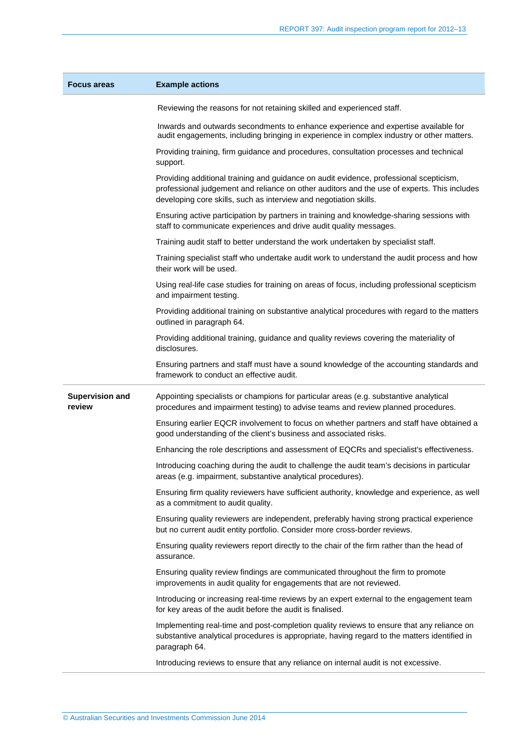| <b>Focus areas</b>               | <b>Example actions</b>                                                                                                                                                                                                                                     |
|----------------------------------|------------------------------------------------------------------------------------------------------------------------------------------------------------------------------------------------------------------------------------------------------------|
|                                  | Reviewing the reasons for not retaining skilled and experienced staff.                                                                                                                                                                                     |
|                                  | Inwards and outwards secondments to enhance experience and expertise available for<br>audit engagements, including bringing in experience in complex industry or other matters.                                                                            |
|                                  | Providing training, firm guidance and procedures, consultation processes and technical<br>support.                                                                                                                                                         |
|                                  | Providing additional training and guidance on audit evidence, professional scepticism,<br>professional judgement and reliance on other auditors and the use of experts. This includes<br>developing core skills, such as interview and negotiation skills. |
|                                  | Ensuring active participation by partners in training and knowledge-sharing sessions with<br>staff to communicate experiences and drive audit quality messages.                                                                                            |
|                                  | Training audit staff to better understand the work undertaken by specialist staff.                                                                                                                                                                         |
|                                  | Training specialist staff who undertake audit work to understand the audit process and how<br>their work will be used.                                                                                                                                     |
|                                  | Using real-life case studies for training on areas of focus, including professional scepticism<br>and impairment testing.                                                                                                                                  |
|                                  | Providing additional training on substantive analytical procedures with regard to the matters<br>outlined in paragraph 64.                                                                                                                                 |
|                                  | Providing additional training, guidance and quality reviews covering the materiality of<br>disclosures.                                                                                                                                                    |
|                                  | Ensuring partners and staff must have a sound knowledge of the accounting standards and<br>framework to conduct an effective audit.                                                                                                                        |
| <b>Supervision and</b><br>review | Appointing specialists or champions for particular areas (e.g. substantive analytical<br>procedures and impairment testing) to advise teams and review planned procedures.                                                                                 |
|                                  | Ensuring earlier EQCR involvement to focus on whether partners and staff have obtained a<br>good understanding of the client's business and associated risks.                                                                                              |
|                                  | Enhancing the role descriptions and assessment of EQCRs and specialist's effectiveness.                                                                                                                                                                    |
|                                  | Introducing coaching during the audit to challenge the audit team's decisions in particular<br>areas (e.g. impairment, substantive analytical procedures).                                                                                                 |
|                                  | Ensuring firm quality reviewers have sufficient authority, knowledge and experience, as well<br>as a commitment to audit quality.                                                                                                                          |
|                                  | Ensuring quality reviewers are independent, preferably having strong practical experience<br>but no current audit entity portfolio. Consider more cross-border reviews.                                                                                    |
|                                  | Ensuring quality reviewers report directly to the chair of the firm rather than the head of<br>assurance.                                                                                                                                                  |
|                                  | Ensuring quality review findings are communicated throughout the firm to promote<br>improvements in audit quality for engagements that are not reviewed.                                                                                                   |
|                                  | Introducing or increasing real-time reviews by an expert external to the engagement team<br>for key areas of the audit before the audit is finalised.                                                                                                      |
|                                  | Implementing real-time and post-completion quality reviews to ensure that any reliance on<br>substantive analytical procedures is appropriate, having regard to the matters identified in<br>paragraph 64.                                                 |
|                                  | Introducing reviews to ensure that any reliance on internal audit is not excessive.                                                                                                                                                                        |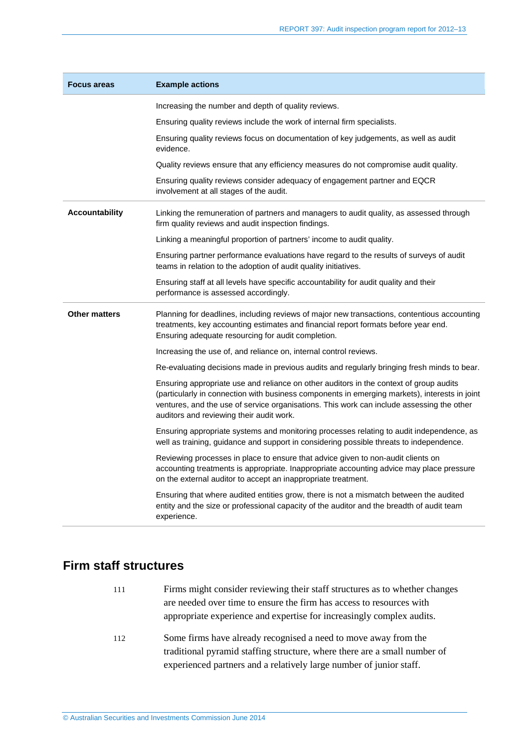| <b>Focus areas</b>    | <b>Example actions</b>                                                                                                                                                                                                                                                                                                           |
|-----------------------|----------------------------------------------------------------------------------------------------------------------------------------------------------------------------------------------------------------------------------------------------------------------------------------------------------------------------------|
|                       | Increasing the number and depth of quality reviews.                                                                                                                                                                                                                                                                              |
|                       | Ensuring quality reviews include the work of internal firm specialists.                                                                                                                                                                                                                                                          |
|                       | Ensuring quality reviews focus on documentation of key judgements, as well as audit<br>evidence.                                                                                                                                                                                                                                 |
|                       | Quality reviews ensure that any efficiency measures do not compromise audit quality.                                                                                                                                                                                                                                             |
|                       | Ensuring quality reviews consider adequacy of engagement partner and EQCR<br>involvement at all stages of the audit.                                                                                                                                                                                                             |
| <b>Accountability</b> | Linking the remuneration of partners and managers to audit quality, as assessed through<br>firm quality reviews and audit inspection findings.                                                                                                                                                                                   |
|                       | Linking a meaningful proportion of partners' income to audit quality.                                                                                                                                                                                                                                                            |
|                       | Ensuring partner performance evaluations have regard to the results of surveys of audit<br>teams in relation to the adoption of audit quality initiatives.                                                                                                                                                                       |
|                       | Ensuring staff at all levels have specific accountability for audit quality and their<br>performance is assessed accordingly.                                                                                                                                                                                                    |
| <b>Other matters</b>  | Planning for deadlines, including reviews of major new transactions, contentious accounting<br>treatments, key accounting estimates and financial report formats before year end.<br>Ensuring adequate resourcing for audit completion.                                                                                          |
|                       | Increasing the use of, and reliance on, internal control reviews.                                                                                                                                                                                                                                                                |
|                       | Re-evaluating decisions made in previous audits and regularly bringing fresh minds to bear.                                                                                                                                                                                                                                      |
|                       | Ensuring appropriate use and reliance on other auditors in the context of group audits<br>(particularly in connection with business components in emerging markets), interests in joint<br>ventures, and the use of service organisations. This work can include assessing the other<br>auditors and reviewing their audit work. |
|                       | Ensuring appropriate systems and monitoring processes relating to audit independence, as<br>well as training, guidance and support in considering possible threats to independence.                                                                                                                                              |
|                       | Reviewing processes in place to ensure that advice given to non-audit clients on<br>accounting treatments is appropriate. Inappropriate accounting advice may place pressure<br>on the external auditor to accept an inappropriate treatment.                                                                                    |
|                       | Ensuring that where audited entities grow, there is not a mismatch between the audited<br>entity and the size or professional capacity of the auditor and the breadth of audit team<br>experience.                                                                                                                               |

## <span id="page-31-0"></span>**Firm staff structures**

- 111 Firms might consider reviewing their staff structures as to whether changes are needed over time to ensure the firm has access to resources with appropriate experience and expertise for increasingly complex audits.
- 112 Some firms have already recognised a need to move away from the traditional pyramid staffing structure, where there are a small number of experienced partners and a relatively large number of junior staff.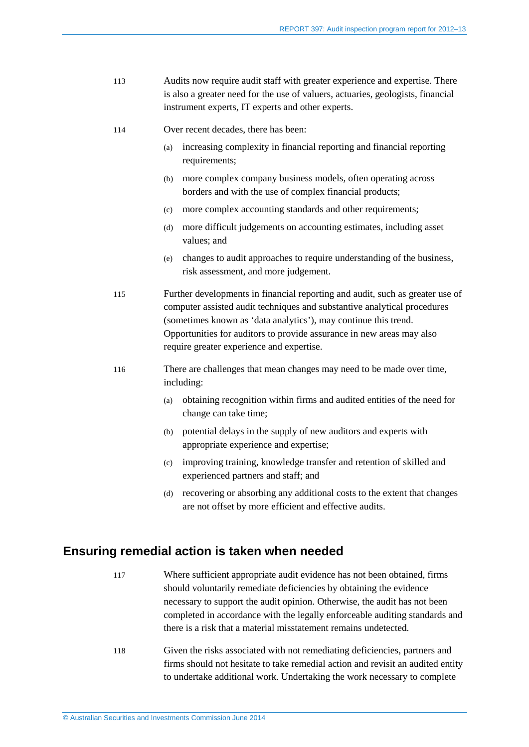- 113 Audits now require audit staff with greater experience and expertise. There is also a greater need for the use of valuers, actuaries, geologists, financial instrument experts, IT experts and other experts.
- 114 Over recent decades, there has been:
	- (a) increasing complexity in financial reporting and financial reporting requirements;
	- (b) more complex company business models, often operating across borders and with the use of complex financial products;
	- (c) more complex accounting standards and other requirements;
	- (d) more difficult judgements on accounting estimates, including asset values; and
	- (e) changes to audit approaches to require understanding of the business, risk assessment, and more judgement.

115 Further developments in financial reporting and audit, such as greater use of computer assisted audit techniques and substantive analytical procedures (sometimes known as 'data analytics'), may continue this trend. Opportunities for auditors to provide assurance in new areas may also require greater experience and expertise.

- 116 There are challenges that mean changes may need to be made over time, including:
	- (a) obtaining recognition within firms and audited entities of the need for change can take time;
	- (b) potential delays in the supply of new auditors and experts with appropriate experience and expertise;
	- (c) improving training, knowledge transfer and retention of skilled and experienced partners and staff; and
	- (d) recovering or absorbing any additional costs to the extent that changes are not offset by more efficient and effective audits.

### <span id="page-32-0"></span>**Ensuring remedial action is taken when needed**

- 117 Where sufficient appropriate audit evidence has not been obtained, firms should voluntarily remediate deficiencies by obtaining the evidence necessary to support the audit opinion. Otherwise, the audit has not been completed in accordance with the legally enforceable auditing standards and there is a risk that a material misstatement remains undetected.
- 118 Given the risks associated with not remediating deficiencies, partners and firms should not hesitate to take remedial action and revisit an audited entity to undertake additional work. Undertaking the work necessary to complete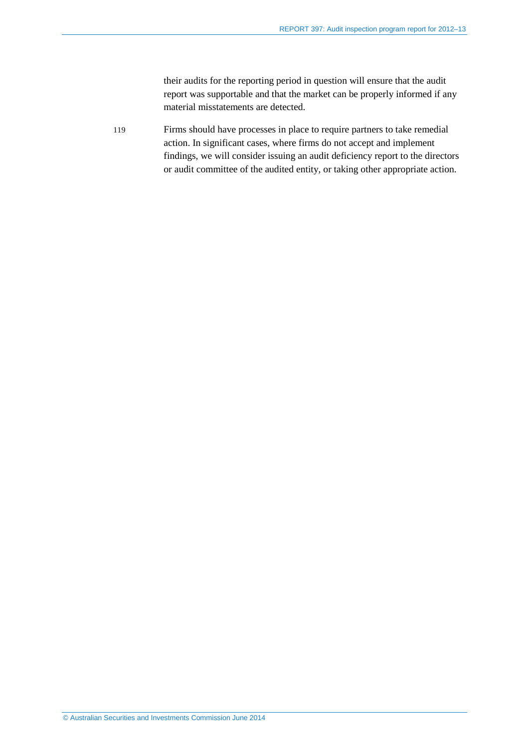their audits for the reporting period in question will ensure that the audit report was supportable and that the market can be properly informed if any material misstatements are detected.

119 Firms should have processes in place to require partners to take remedial action. In significant cases, where firms do not accept and implement findings, we will consider issuing an audit deficiency report to the directors or audit committee of the audited entity, or taking other appropriate action.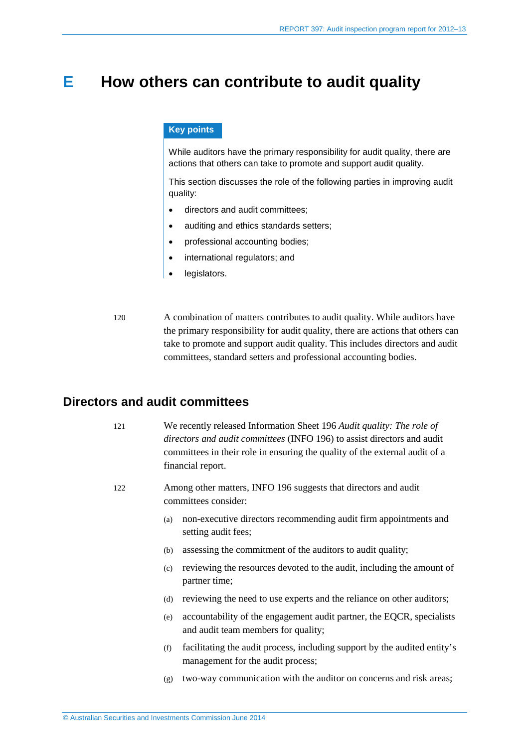## <span id="page-34-0"></span>**E How others can contribute to audit quality**

#### **Key points**

While auditors have the primary responsibility for audit quality, there are actions that others can take to promote and support audit quality.

This section discusses the role of the following parties in improving audit quality:

- directors and audit committees;
- auditing and ethics standards setters;
- professional accounting bodies;
- international regulators; and
- legislators.
- 120 A combination of matters contributes to audit quality. While auditors have the primary responsibility for audit quality, there are actions that others can take to promote and support audit quality. This includes directors and audit committees, standard setters and professional accounting bodies.

### <span id="page-34-1"></span>**Directors and audit committees**

- 121 We recently released Information Sheet 196 *Audit quality: The role of directors and audit committees* (INFO 196) to assist directors and audit committees in their role in ensuring the quality of the external audit of a financial report.
- 122 Among other matters, INFO 196 suggests that directors and audit committees consider:
	- (a) non-executive directors recommending audit firm appointments and setting audit fees;
	- (b) assessing the commitment of the auditors to audit quality;
	- (c) reviewing the resources devoted to the audit, including the amount of partner time;
	- (d) reviewing the need to use experts and the reliance on other auditors;
	- (e) accountability of the engagement audit partner, the EQCR, specialists and audit team members for quality;
	- (f) facilitating the audit process, including support by the audited entity's management for the audit process;
	- (g) two-way communication with the auditor on concerns and risk areas;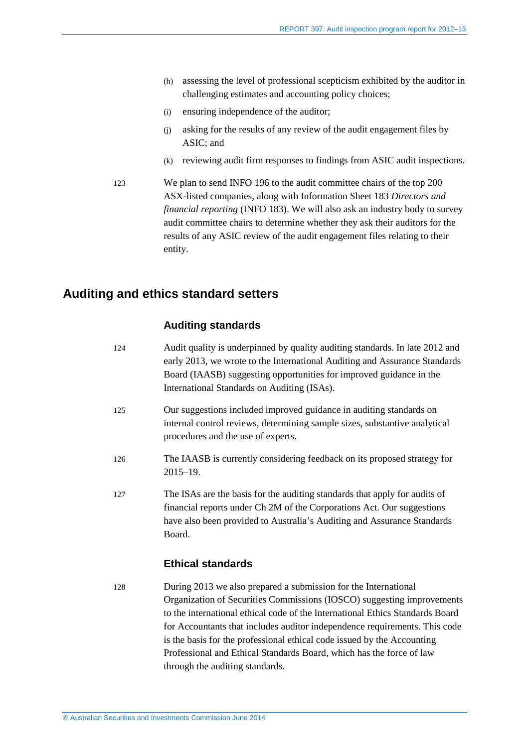- (h) assessing the level of professional scepticism exhibited by the auditor in challenging estimates and accounting policy choices;
- (i) ensuring independence of the auditor;
- (j) asking for the results of any review of the audit engagement files by ASIC; and
- (k) reviewing audit firm responses to findings from ASIC audit inspections.
- 123 We plan to send INFO 196 to the audit committee chairs of the top 200 ASX-listed companies, along with Information Sheet 183 *Directors and financial reporting* (INFO 183). We will also ask an industry body to survey audit committee chairs to determine whether they ask their auditors for the results of any ASIC review of the audit engagement files relating to their entity.

### <span id="page-35-0"></span>**Auditing and ethics standard setters**

#### **Auditing standards**

| 124 | Audit quality is underpinned by quality auditing standards. In late 2012 and<br>early 2013, we wrote to the International Auditing and Assurance Standards<br>Board (IAASB) suggesting opportunities for improved guidance in the<br>International Standards on Auditing (ISAs). |
|-----|----------------------------------------------------------------------------------------------------------------------------------------------------------------------------------------------------------------------------------------------------------------------------------|
| 125 | Our suggestions included improved guidance in auditing standards on<br>internal control reviews, determining sample sizes, substantive analytical<br>procedures and the use of experts.                                                                                          |
| 126 | The IAASB is currently considering feedback on its proposed strategy for<br>$2015 - 19.$                                                                                                                                                                                         |
| 127 | The ISAs are the basis for the auditing standards that apply for audits of<br>financial reports under Ch 2M of the Corporations Act. Our suggestions<br>have also been provided to Australia's Auditing and Assurance Standards<br>Board.                                        |

### **Ethical standards**

128 During 2013 we also prepared a submission for the International Organization of Securities Commissions (IOSCO) suggesting improvements to the international ethical code of the International Ethics Standards Board for Accountants that includes auditor independence requirements. This code is the basis for the professional ethical code issued by the Accounting Professional and Ethical Standards Board, which has the force of law through the auditing standards.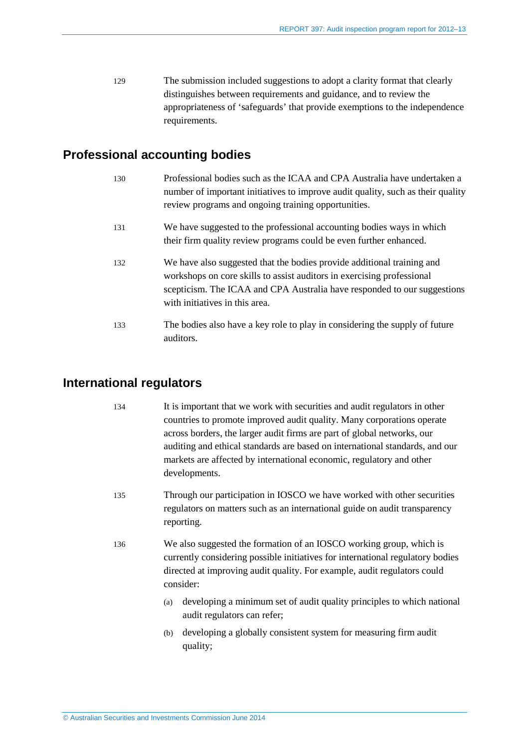129 The submission included suggestions to adopt a clarity format that clearly distinguishes between requirements and guidance, and to review the appropriateness of 'safeguards' that provide exemptions to the independence requirements.

## <span id="page-36-0"></span>**Professional accounting bodies**

| 130 | Professional bodies such as the ICAA and CPA Australia have undertaken a<br>number of important initiatives to improve audit quality, such as their quality<br>review programs and ongoing training opportunities.                                             |
|-----|----------------------------------------------------------------------------------------------------------------------------------------------------------------------------------------------------------------------------------------------------------------|
| 131 | We have suggested to the professional accounting bodies ways in which<br>their firm quality review programs could be even further enhanced.                                                                                                                    |
| 132 | We have also suggested that the bodies provide additional training and<br>workshops on core skills to assist auditors in exercising professional<br>scepticism. The ICAA and CPA Australia have responded to our suggestions<br>with initiatives in this area. |
| 133 | The bodies also have a key role to play in considering the supply of future<br>auditors.                                                                                                                                                                       |

### <span id="page-36-1"></span>**International regulators**

- 134 It is important that we work with securities and audit regulators in other countries to promote improved audit quality. Many corporations operate across borders, the larger audit firms are part of global networks, our auditing and ethical standards are based on international standards, and our markets are affected by international economic, regulatory and other developments.
- 135 Through our participation in IOSCO we have worked with other securities regulators on matters such as an international guide on audit transparency reporting.
- 136 We also suggested the formation of an IOSCO working group, which is currently considering possible initiatives for international regulatory bodies directed at improving audit quality. For example, audit regulators could consider:
	- (a) developing a minimum set of audit quality principles to which national audit regulators can refer;
	- (b) developing a globally consistent system for measuring firm audit quality;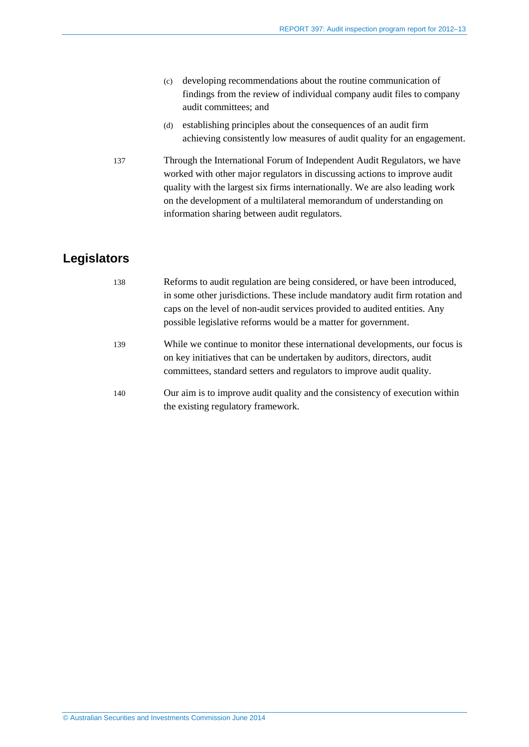- (c) developing recommendations about the routine communication of findings from the review of individual company audit files to company audit committees; and
- (d) establishing principles about the consequences of an audit firm achieving consistently low measures of audit quality for an engagement.
- 137 Through the International Forum of Independent Audit Regulators, we have worked with other major regulators in discussing actions to improve audit quality with the largest six firms internationally. We are also leading work on the development of a multilateral memorandum of understanding on information sharing between audit regulators.

## <span id="page-37-0"></span>**Legislators**

| 138 | Reforms to audit regulation are being considered, or have been introduced,<br>in some other jurisdictions. These include mandatory audit firm rotation and<br>caps on the level of non-audit services provided to audited entities. Any |
|-----|-----------------------------------------------------------------------------------------------------------------------------------------------------------------------------------------------------------------------------------------|
|     | possible legislative reforms would be a matter for government.                                                                                                                                                                          |
| 139 | While we continue to monitor these international developments, our focus is<br>on key initiatives that can be undertaken by auditors, directors, audit<br>committees, standard setters and regulators to improve audit quality.         |
| 140 | Our aim is to improve audit quality and the consistency of execution within<br>the existing regulatory framework.                                                                                                                       |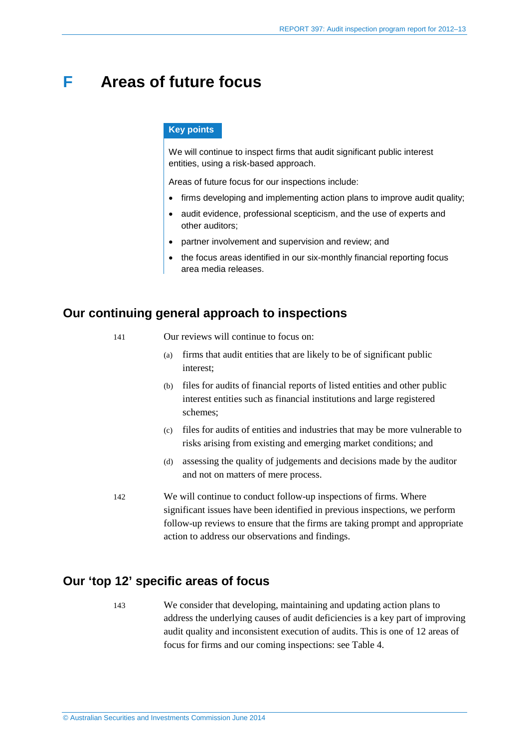## <span id="page-38-0"></span>**F Areas of future focus**

#### **Key points**

We will continue to inspect firms that audit significant public interest entities, using a risk-based approach.

Areas of future focus for our inspections include:

- firms developing and implementing action plans to improve audit quality;
- audit evidence, professional scepticism, and the use of experts and other auditors;
- partner involvement and supervision and review; and
- the focus areas identified in our six-monthly financial reporting focus area media releases.

### <span id="page-38-1"></span>**Our continuing general approach to inspections**

- 141 Our reviews will continue to focus on:
	- (a) firms that audit entities that are likely to be of significant public interest;
	- (b) files for audits of financial reports of listed entities and other public interest entities such as financial institutions and large registered schemes;
	- (c) files for audits of entities and industries that may be more vulnerable to risks arising from existing and emerging market conditions; and
	- (d) assessing the quality of judgements and decisions made by the auditor and not on matters of mere process.
- 142 We will continue to conduct follow-up inspections of firms. Where significant issues have been identified in previous inspections, we perform follow-up reviews to ensure that the firms are taking prompt and appropriate action to address our observations and findings.

## <span id="page-38-2"></span>**Our 'top 12' specific areas of focus**

143 We consider that developing, maintaining and updating action plans to address the underlying causes of audit deficiencies is a key part of improving audit quality and inconsistent execution of audits. This is one of 12 areas of focus for firms and our coming inspections: see [Table 4.](#page-39-0)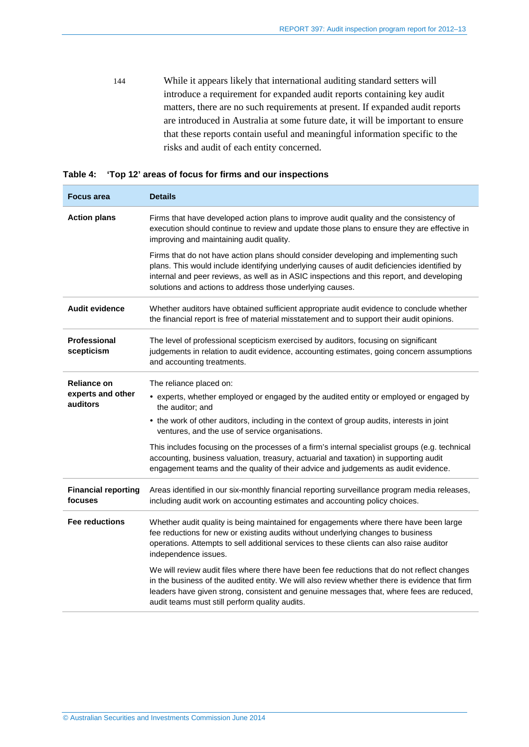144 While it appears likely that international auditing standard setters will introduce a requirement for expanded audit reports containing key audit matters, there are no such requirements at present. If expanded audit reports are introduced in Australia at some future date, it will be important to ensure that these reports contain useful and meaningful information specific to the risks and audit of each entity concerned.

<span id="page-39-0"></span>

|  | Table 4: 'Top 12' areas of focus for firms and our inspections |  |  |  |
|--|----------------------------------------------------------------|--|--|--|
|--|----------------------------------------------------------------|--|--|--|

| <b>Focus area</b>                     | <b>Details</b>                                                                                                                                                                                                                                                                                                                                |
|---------------------------------------|-----------------------------------------------------------------------------------------------------------------------------------------------------------------------------------------------------------------------------------------------------------------------------------------------------------------------------------------------|
| <b>Action plans</b>                   | Firms that have developed action plans to improve audit quality and the consistency of<br>execution should continue to review and update those plans to ensure they are effective in<br>improving and maintaining audit quality.                                                                                                              |
|                                       | Firms that do not have action plans should consider developing and implementing such<br>plans. This would include identifying underlying causes of audit deficiencies identified by<br>internal and peer reviews, as well as in ASIC inspections and this report, and developing<br>solutions and actions to address those underlying causes. |
| Audit evidence                        | Whether auditors have obtained sufficient appropriate audit evidence to conclude whether<br>the financial report is free of material misstatement and to support their audit opinions.                                                                                                                                                        |
| Professional<br>scepticism            | The level of professional scepticism exercised by auditors, focusing on significant<br>judgements in relation to audit evidence, accounting estimates, going concern assumptions<br>and accounting treatments.                                                                                                                                |
| <b>Reliance on</b>                    | The reliance placed on:                                                                                                                                                                                                                                                                                                                       |
| experts and other<br>auditors         | • experts, whether employed or engaged by the audited entity or employed or engaged by<br>the auditor; and                                                                                                                                                                                                                                    |
|                                       | • the work of other auditors, including in the context of group audits, interests in joint<br>ventures, and the use of service organisations.                                                                                                                                                                                                 |
|                                       | This includes focusing on the processes of a firm's internal specialist groups (e.g. technical<br>accounting, business valuation, treasury, actuarial and taxation) in supporting audit<br>engagement teams and the quality of their advice and judgements as audit evidence.                                                                 |
| <b>Financial reporting</b><br>focuses | Areas identified in our six-monthly financial reporting surveillance program media releases,<br>including audit work on accounting estimates and accounting policy choices.                                                                                                                                                                   |
| <b>Fee reductions</b>                 | Whether audit quality is being maintained for engagements where there have been large<br>fee reductions for new or existing audits without underlying changes to business<br>operations. Attempts to sell additional services to these clients can also raise auditor<br>independence issues.                                                 |
|                                       | We will review audit files where there have been fee reductions that do not reflect changes<br>in the business of the audited entity. We will also review whether there is evidence that firm<br>leaders have given strong, consistent and genuine messages that, where fees are reduced,<br>audit teams must still perform quality audits.   |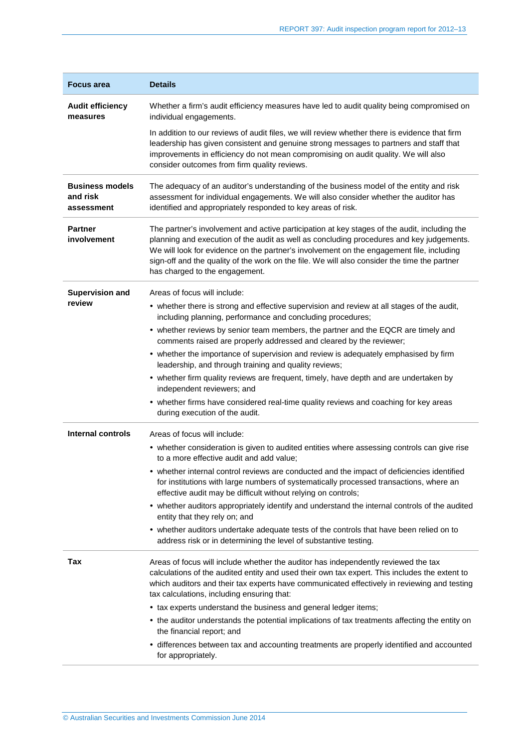| <b>Focus area</b>                                | <b>Details</b>                                                                                                                                                                                                                                                                                                                                                                                                         |
|--------------------------------------------------|------------------------------------------------------------------------------------------------------------------------------------------------------------------------------------------------------------------------------------------------------------------------------------------------------------------------------------------------------------------------------------------------------------------------|
| <b>Audit efficiency</b><br>measures              | Whether a firm's audit efficiency measures have led to audit quality being compromised on<br>individual engagements.                                                                                                                                                                                                                                                                                                   |
|                                                  | In addition to our reviews of audit files, we will review whether there is evidence that firm<br>leadership has given consistent and genuine strong messages to partners and staff that<br>improvements in efficiency do not mean compromising on audit quality. We will also<br>consider outcomes from firm quality reviews.                                                                                          |
| <b>Business models</b><br>and risk<br>assessment | The adequacy of an auditor's understanding of the business model of the entity and risk<br>assessment for individual engagements. We will also consider whether the auditor has<br>identified and appropriately responded to key areas of risk.                                                                                                                                                                        |
| <b>Partner</b><br>involvement                    | The partner's involvement and active participation at key stages of the audit, including the<br>planning and execution of the audit as well as concluding procedures and key judgements.<br>We will look for evidence on the partner's involvement on the engagement file, including<br>sign-off and the quality of the work on the file. We will also consider the time the partner<br>has charged to the engagement. |
| <b>Supervision and</b>                           | Areas of focus will include:                                                                                                                                                                                                                                                                                                                                                                                           |
| review                                           | • whether there is strong and effective supervision and review at all stages of the audit,<br>including planning, performance and concluding procedures;                                                                                                                                                                                                                                                               |
|                                                  | • whether reviews by senior team members, the partner and the EQCR are timely and<br>comments raised are properly addressed and cleared by the reviewer;                                                                                                                                                                                                                                                               |
|                                                  | • whether the importance of supervision and review is adequately emphasised by firm<br>leadership, and through training and quality reviews;                                                                                                                                                                                                                                                                           |
|                                                  | • whether firm quality reviews are frequent, timely, have depth and are undertaken by<br>independent reviewers; and                                                                                                                                                                                                                                                                                                    |
|                                                  | • whether firms have considered real-time quality reviews and coaching for key areas<br>during execution of the audit.                                                                                                                                                                                                                                                                                                 |
| Internal controls                                | Areas of focus will include:                                                                                                                                                                                                                                                                                                                                                                                           |
|                                                  | • whether consideration is given to audited entities where assessing controls can give rise<br>to a more effective audit and add value;                                                                                                                                                                                                                                                                                |
|                                                  | whether internal control reviews are conducted and the impact of deficiencies identified<br>for institutions with large numbers of systematically processed transactions, where an<br>effective audit may be difficult without relying on controls;                                                                                                                                                                    |
|                                                  | • whether auditors appropriately identify and understand the internal controls of the audited<br>entity that they rely on; and                                                                                                                                                                                                                                                                                         |
|                                                  | • whether auditors undertake adequate tests of the controls that have been relied on to<br>address risk or in determining the level of substantive testing.                                                                                                                                                                                                                                                            |
| Tax                                              | Areas of focus will include whether the auditor has independently reviewed the tax<br>calculations of the audited entity and used their own tax expert. This includes the extent to<br>which auditors and their tax experts have communicated effectively in reviewing and testing<br>tax calculations, including ensuring that:                                                                                       |
|                                                  | • tax experts understand the business and general ledger items;                                                                                                                                                                                                                                                                                                                                                        |
|                                                  | • the auditor understands the potential implications of tax treatments affecting the entity on<br>the financial report; and                                                                                                                                                                                                                                                                                            |
|                                                  | • differences between tax and accounting treatments are properly identified and accounted<br>for appropriately.                                                                                                                                                                                                                                                                                                        |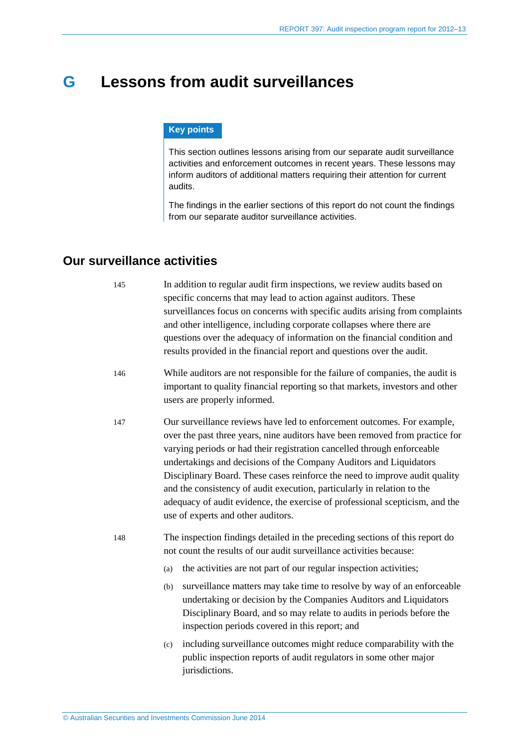## <span id="page-41-0"></span>**G Lessons from audit surveillances**

#### **Key points**

This section outlines lessons arising from our separate audit surveillance activities and enforcement outcomes in recent years. These lessons may inform auditors of additional matters requiring their attention for current audits.

The findings in the earlier sections of this report do not count the findings from our separate auditor surveillance activities.

### <span id="page-41-1"></span>**Our surveillance activities**

145 In addition to regular audit firm inspections, we review audits based on specific concerns that may lead to action against auditors. These surveillances focus on concerns with specific audits arising from complaints and other intelligence, including corporate collapses where there are questions over the adequacy of information on the financial condition and results provided in the financial report and questions over the audit.

- 146 While auditors are not responsible for the failure of companies, the audit is important to quality financial reporting so that markets, investors and other users are properly informed.
- 147 Our surveillance reviews have led to enforcement outcomes. For example, over the past three years, nine auditors have been removed from practice for varying periods or had their registration cancelled through enforceable undertakings and decisions of the Company Auditors and Liquidators Disciplinary Board. These cases reinforce the need to improve audit quality and the consistency of audit execution, particularly in relation to the adequacy of audit evidence, the exercise of professional scepticism, and the use of experts and other auditors.
- 148 The inspection findings detailed in the preceding sections of this report do not count the results of our audit surveillance activities because:
	- (a) the activities are not part of our regular inspection activities;
	- (b) surveillance matters may take time to resolve by way of an enforceable undertaking or decision by the Companies Auditors and Liquidators Disciplinary Board, and so may relate to audits in periods before the inspection periods covered in this report; and
	- (c) including surveillance outcomes might reduce comparability with the public inspection reports of audit regulators in some other major jurisdictions.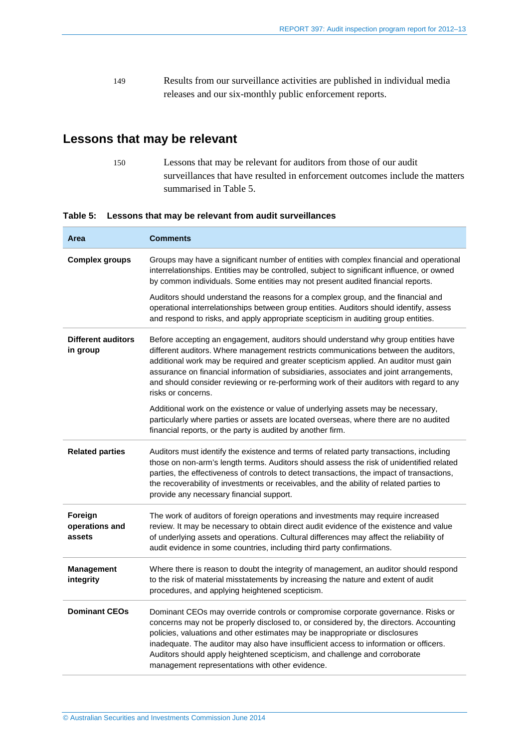149 Results from our surveillance activities are published in individual media releases and our six-monthly public enforcement reports.

## <span id="page-42-0"></span>**Lessons that may be relevant**

150 Lessons that may be relevant for auditors from those of our audit surveillances that have resulted in enforcement outcomes include the matters summarised in [Table 5.](#page-42-1)

#### <span id="page-42-1"></span>**Table 5: Lessons that may be relevant from audit surveillances**

| Area                                  | <b>Comments</b>                                                                                                                                                                                                                                                                                                                                                                                                                                                                      |
|---------------------------------------|--------------------------------------------------------------------------------------------------------------------------------------------------------------------------------------------------------------------------------------------------------------------------------------------------------------------------------------------------------------------------------------------------------------------------------------------------------------------------------------|
| <b>Complex groups</b>                 | Groups may have a significant number of entities with complex financial and operational<br>interrelationships. Entities may be controlled, subject to significant influence, or owned<br>by common individuals. Some entities may not present audited financial reports.                                                                                                                                                                                                             |
|                                       | Auditors should understand the reasons for a complex group, and the financial and<br>operational interrelationships between group entities. Auditors should identify, assess<br>and respond to risks, and apply appropriate scepticism in auditing group entities.                                                                                                                                                                                                                   |
| <b>Different auditors</b><br>in group | Before accepting an engagement, auditors should understand why group entities have<br>different auditors. Where management restricts communications between the auditors,<br>additional work may be required and greater scepticism applied. An auditor must gain<br>assurance on financial information of subsidiaries, associates and joint arrangements,<br>and should consider reviewing or re-performing work of their auditors with regard to any<br>risks or concerns.        |
|                                       | Additional work on the existence or value of underlying assets may be necessary,<br>particularly where parties or assets are located overseas, where there are no audited<br>financial reports, or the party is audited by another firm.                                                                                                                                                                                                                                             |
| <b>Related parties</b>                | Auditors must identify the existence and terms of related party transactions, including<br>those on non-arm's length terms. Auditors should assess the risk of unidentified related<br>parties, the effectiveness of controls to detect transactions, the impact of transactions,<br>the recoverability of investments or receivables, and the ability of related parties to<br>provide any necessary financial support.                                                             |
| Foreign<br>operations and<br>assets   | The work of auditors of foreign operations and investments may require increased<br>review. It may be necessary to obtain direct audit evidence of the existence and value<br>of underlying assets and operations. Cultural differences may affect the reliability of<br>audit evidence in some countries, including third party confirmations.                                                                                                                                      |
| <b>Management</b><br>integrity        | Where there is reason to doubt the integrity of management, an auditor should respond<br>to the risk of material misstatements by increasing the nature and extent of audit<br>procedures, and applying heightened scepticism.                                                                                                                                                                                                                                                       |
| <b>Dominant CEOs</b>                  | Dominant CEOs may override controls or compromise corporate governance. Risks or<br>concerns may not be properly disclosed to, or considered by, the directors. Accounting<br>policies, valuations and other estimates may be inappropriate or disclosures<br>inadequate. The auditor may also have insufficient access to information or officers.<br>Auditors should apply heightened scepticism, and challenge and corroborate<br>management representations with other evidence. |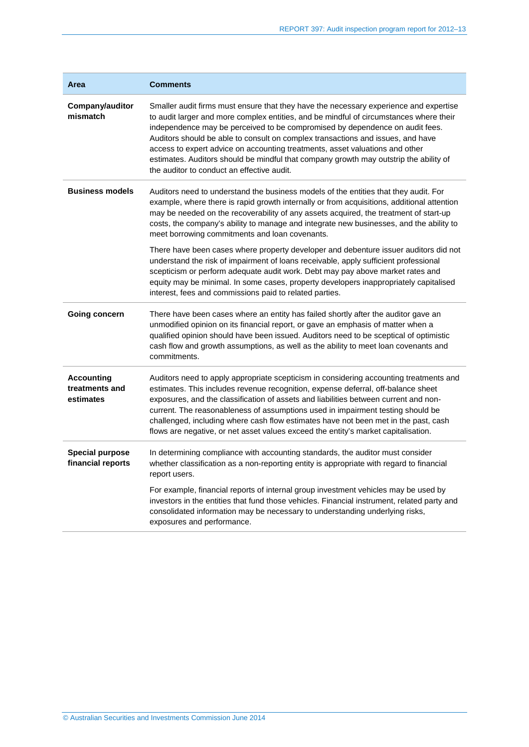| Area                                             | <b>Comments</b>                                                                                                                                                                                                                                                                                                                                                                                                                                                                                                                                                           |
|--------------------------------------------------|---------------------------------------------------------------------------------------------------------------------------------------------------------------------------------------------------------------------------------------------------------------------------------------------------------------------------------------------------------------------------------------------------------------------------------------------------------------------------------------------------------------------------------------------------------------------------|
| Company/auditor<br>mismatch                      | Smaller audit firms must ensure that they have the necessary experience and expertise<br>to audit larger and more complex entities, and be mindful of circumstances where their<br>independence may be perceived to be compromised by dependence on audit fees.<br>Auditors should be able to consult on complex transactions and issues, and have<br>access to expert advice on accounting treatments, asset valuations and other<br>estimates. Auditors should be mindful that company growth may outstrip the ability of<br>the auditor to conduct an effective audit. |
| <b>Business models</b>                           | Auditors need to understand the business models of the entities that they audit. For<br>example, where there is rapid growth internally or from acquisitions, additional attention<br>may be needed on the recoverability of any assets acquired, the treatment of start-up<br>costs, the company's ability to manage and integrate new businesses, and the ability to<br>meet borrowing commitments and loan covenants.                                                                                                                                                  |
|                                                  | There have been cases where property developer and debenture issuer auditors did not<br>understand the risk of impairment of loans receivable, apply sufficient professional<br>scepticism or perform adequate audit work. Debt may pay above market rates and<br>equity may be minimal. In some cases, property developers inappropriately capitalised<br>interest, fees and commissions paid to related parties.                                                                                                                                                        |
| Going concern                                    | There have been cases where an entity has failed shortly after the auditor gave an<br>unmodified opinion on its financial report, or gave an emphasis of matter when a<br>qualified opinion should have been issued. Auditors need to be sceptical of optimistic<br>cash flow and growth assumptions, as well as the ability to meet loan covenants and<br>commitments.                                                                                                                                                                                                   |
| <b>Accounting</b><br>treatments and<br>estimates | Auditors need to apply appropriate scepticism in considering accounting treatments and<br>estimates. This includes revenue recognition, expense deferral, off-balance sheet<br>exposures, and the classification of assets and liabilities between current and non-<br>current. The reasonableness of assumptions used in impairment testing should be<br>challenged, including where cash flow estimates have not been met in the past, cash<br>flows are negative, or net asset values exceed the entity's market capitalisation.                                       |
| <b>Special purpose</b><br>financial reports      | In determining compliance with accounting standards, the auditor must consider<br>whether classification as a non-reporting entity is appropriate with regard to financial<br>report users.                                                                                                                                                                                                                                                                                                                                                                               |
|                                                  | For example, financial reports of internal group investment vehicles may be used by<br>investors in the entities that fund those vehicles. Financial instrument, related party and<br>consolidated information may be necessary to understanding underlying risks,<br>exposures and performance.                                                                                                                                                                                                                                                                          |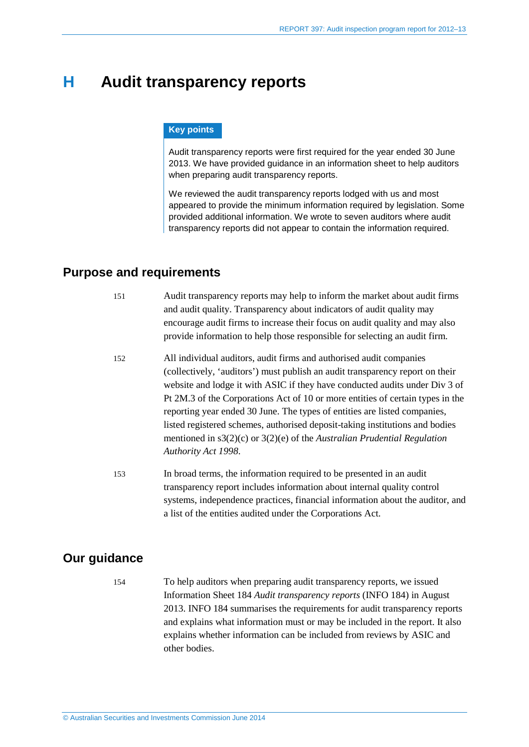## <span id="page-44-0"></span>**H Audit transparency reports**

#### **Key points**

Audit transparency reports were first required for the year ended 30 June 2013. We have provided guidance in an information sheet to help auditors when preparing audit transparency reports.

We reviewed the audit transparency reports lodged with us and most appeared to provide the minimum information required by legislation. Some provided additional information. We wrote to seven auditors where audit transparency reports did not appear to contain the information required.

### <span id="page-44-1"></span>**Purpose and requirements**

- 151 Audit transparency reports may help to inform the market about audit firms and audit quality. Transparency about indicators of audit quality may encourage audit firms to increase their focus on audit quality and may also provide information to help those responsible for selecting an audit firm.
- 152 All individual auditors, audit firms and authorised audit companies (collectively, 'auditors') must publish an audit transparency report on their website and lodge it with ASIC if they have conducted audits under Div 3 of Pt 2M.3 of the Corporations Act of 10 or more entities of certain types in the reporting year ended 30 June. The types of entities are listed companies, listed registered schemes, authorised deposit-taking institutions and bodies mentioned in s3(2)(c) or 3(2)(e) of the *Australian Prudential Regulation Authority Act 1998*.
- 153 In broad terms, the information required to be presented in an audit transparency report includes information about internal quality control systems, independence practices, financial information about the auditor, and a list of the entities audited under the Corporations Act.

### <span id="page-44-2"></span>**Our guidance**

154 To help auditors when preparing audit transparency reports, we issued Information Sheet 184 *Audit transparency reports* (INFO 184) in August 2013. INFO 184 summarises the requirements for audit transparency reports and explains what information must or may be included in the report. It also explains whether information can be included from reviews by ASIC and other bodies.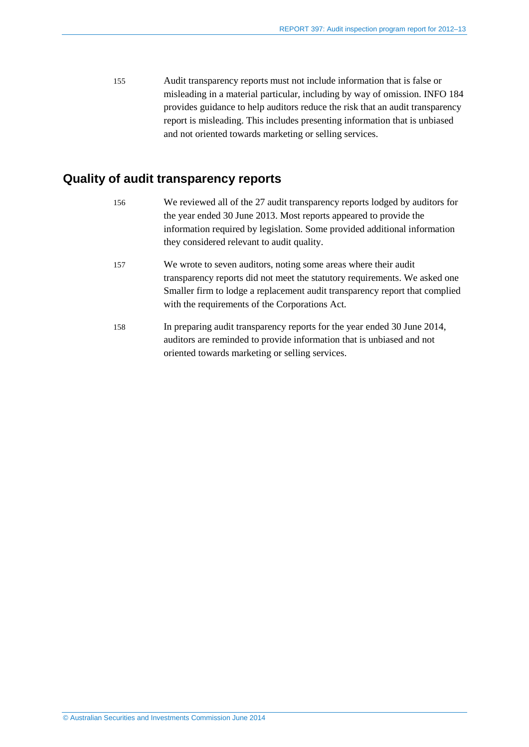155 Audit transparency reports must not include information that is false or misleading in a material particular, including by way of omission. INFO 184 provides guidance to help auditors reduce the risk that an audit transparency report is misleading. This includes presenting information that is unbiased and not oriented towards marketing or selling services.

## <span id="page-45-0"></span>**Quality of audit transparency reports**

| 156 | We reviewed all of the 27 audit transparency reports lodged by auditors for |
|-----|-----------------------------------------------------------------------------|
|     | the year ended 30 June 2013. Most reports appeared to provide the           |
|     | information required by legislation. Some provided additional information   |
|     | they considered relevant to audit quality.                                  |
| 157 | We wrote to seven auditors, noting some areas where their audit             |
|     | transparency reports did not meet the statutory requirements. We asked one  |
|     | Smaller firm to lodge a replacement audit transparency report that complied |
|     | with the requirements of the Corporations Act.                              |
| 158 | In preparing audit transparency reports for the year ended 30 June 2014,    |
|     | auditors are reminded to provide information that is unbiased and not       |
|     | oriented towards marketing or selling services.                             |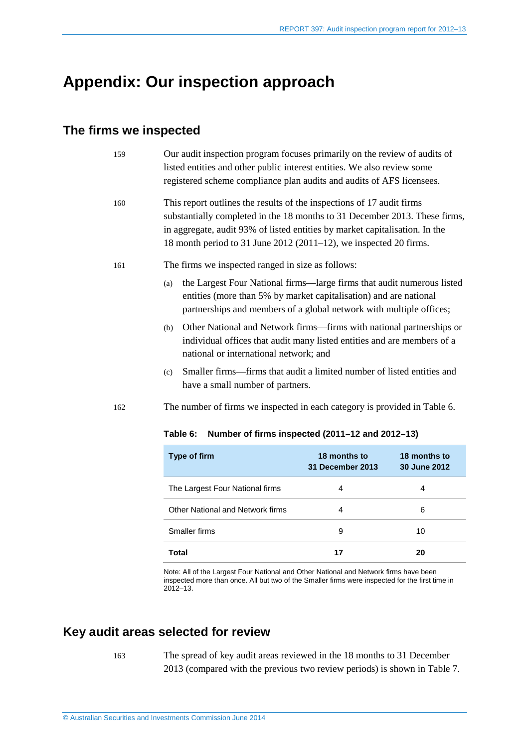## <span id="page-46-0"></span>**Appendix: Our inspection approach**

## **The firms we inspected**

<span id="page-46-1"></span>

| 159 | Our audit inspection program focuses primarily on the review of audits of<br>listed entities and other public interest entities. We also review some<br>registered scheme compliance plan audits and audits of AFS licensees.                                                                             |                                         |                              |  |  |
|-----|-----------------------------------------------------------------------------------------------------------------------------------------------------------------------------------------------------------------------------------------------------------------------------------------------------------|-----------------------------------------|------------------------------|--|--|
| 160 | This report outlines the results of the inspections of 17 audit firms<br>substantially completed in the 18 months to 31 December 2013. These firms,<br>in aggregate, audit 93% of listed entities by market capitalisation. In the<br>18 month period to 31 June $2012(2011-12)$ , we inspected 20 firms. |                                         |                              |  |  |
| 161 | The firms we inspected ranged in size as follows:                                                                                                                                                                                                                                                         |                                         |                              |  |  |
|     | the Largest Four National firms—large firms that audit numerous listed<br>(a)<br>entities (more than 5% by market capitalisation) and are national<br>partnerships and members of a global network with multiple offices;                                                                                 |                                         |                              |  |  |
|     | Other National and Network firms—firms with national partnerships or<br>(b)<br>individual offices that audit many listed entities and are members of a<br>national or international network; and                                                                                                          |                                         |                              |  |  |
|     | Smaller firms—firms that audit a limited number of listed entities and<br>(c)<br>have a small number of partners.                                                                                                                                                                                         |                                         |                              |  |  |
| 162 | The number of firms we inspected in each category is provided in Table 6.                                                                                                                                                                                                                                 |                                         |                              |  |  |
|     | Table 6:<br>Number of firms inspected (2011-12 and 2012-13)                                                                                                                                                                                                                                               |                                         |                              |  |  |
|     | Type of firm                                                                                                                                                                                                                                                                                              | 18 months to<br><b>31 December 2013</b> | 18 months to<br>30 June 2012 |  |  |
|     | The Largest Four National firms                                                                                                                                                                                                                                                                           | 4                                       | 4                            |  |  |
|     | <b>Other National and Network firms</b>                                                                                                                                                                                                                                                                   | 4                                       | 6                            |  |  |

Note: All of the Largest Four National and Other National and Network firms have been inspected more than once. All but two of the Smaller firms were inspected for the first time in 2012–13.

<span id="page-46-2"></span>Smaller firms 9 10

**Total 17 20**

## **Key audit areas selected for review**

163 The spread of key audit areas reviewed in the 18 months to 31 December 2013 (compared with the previous two review periods) is shown in [Table 7.](#page-47-0)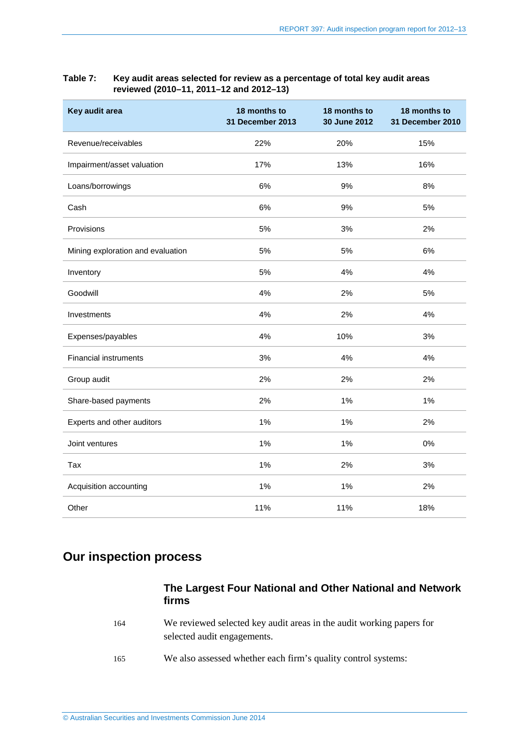| Key audit area                    | 18 months to<br><b>31 December 2013</b> | 18 months to<br>30 June 2012 | 18 months to<br>31 December 2010 |
|-----------------------------------|-----------------------------------------|------------------------------|----------------------------------|
| Revenue/receivables               | 22%                                     | 20%                          | 15%                              |
| Impairment/asset valuation        | 17%                                     | 13%                          | 16%                              |
| Loans/borrowings                  | 6%                                      | 9%                           | 8%                               |
| Cash                              | 6%                                      | 9%                           | 5%                               |
| Provisions                        | 5%                                      | 3%                           | 2%                               |
| Mining exploration and evaluation | 5%                                      | 5%                           | 6%                               |
| Inventory                         | 5%                                      | 4%                           | 4%                               |
| Goodwill                          | 4%                                      | 2%                           | 5%                               |
| Investments                       | 4%                                      | 2%                           | 4%                               |
| Expenses/payables                 | 4%                                      | 10%                          | 3%                               |
| <b>Financial instruments</b>      | 3%                                      | 4%                           | 4%                               |
| Group audit                       | 2%                                      | 2%                           | 2%                               |
| Share-based payments              | 2%                                      | 1%                           | 1%                               |
| Experts and other auditors        | 1%                                      | 1%                           | 2%                               |
| Joint ventures                    | 1%                                      | 1%                           | 0%                               |
| Tax                               | 1%                                      | 2%                           | 3%                               |
| Acquisition accounting            | 1%                                      | 1%                           | 2%                               |
| Other                             | 11%                                     | 11%                          | 18%                              |

#### <span id="page-47-0"></span>**Table 7: Key audit areas selected for review as a percentage of total key audit areas reviewed (2010–11, 2011–12 and 2012–13)**

## **Our inspection process**

#### **The Largest Four National and Other National and Network firms**

- 164 We reviewed selected key audit areas in the audit working papers for selected audit engagements.
- 165 We also assessed whether each firm's quality control systems: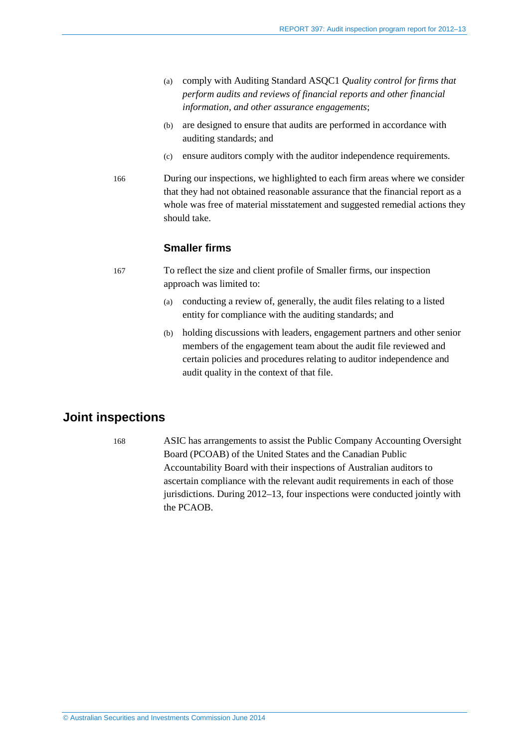- (a) comply with Auditing Standard ASQC1 *Quality control for firms that perform audits and reviews of financial reports and other financial information, and other assurance engagements*;
- (b) are designed to ensure that audits are performed in accordance with auditing standards; and
- (c) ensure auditors comply with the auditor independence requirements.
- 166 During our inspections, we highlighted to each firm areas where we consider that they had not obtained reasonable assurance that the financial report as a whole was free of material misstatement and suggested remedial actions they should take.

#### **Smaller firms**

- 167 To reflect the size and client profile of Smaller firms, our inspection approach was limited to:
	- (a) conducting a review of, generally, the audit files relating to a listed entity for compliance with the auditing standards; and
	- (b) holding discussions with leaders, engagement partners and other senior members of the engagement team about the audit file reviewed and certain policies and procedures relating to auditor independence and audit quality in the context of that file.

## **Joint inspections**

168 ASIC has arrangements to assist the Public Company Accounting Oversight Board (PCOAB) of the United States and the Canadian Public Accountability Board with their inspections of Australian auditors to ascertain compliance with the relevant audit requirements in each of those jurisdictions. During 2012–13, four inspections were conducted jointly with the PCAOB.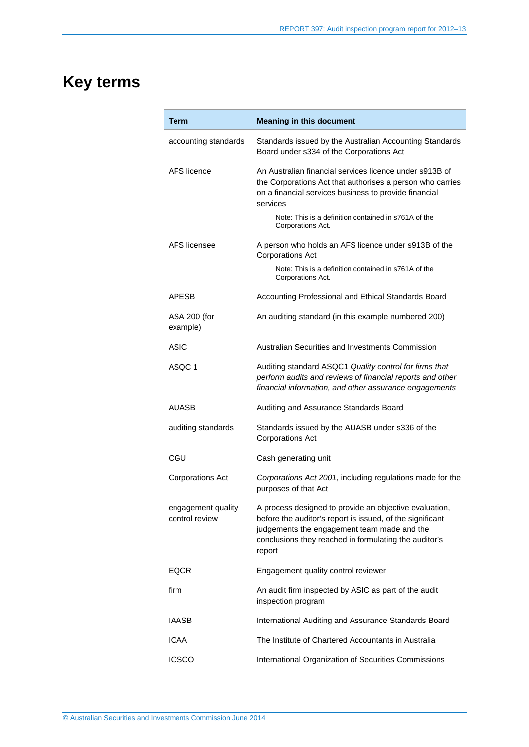# <span id="page-49-0"></span>**Key terms**

| Term                                 | <b>Meaning in this document</b>                                                                                                                                                                                                       |  |
|--------------------------------------|---------------------------------------------------------------------------------------------------------------------------------------------------------------------------------------------------------------------------------------|--|
| accounting standards                 | Standards issued by the Australian Accounting Standards<br>Board under s334 of the Corporations Act                                                                                                                                   |  |
| AFS licence                          | An Australian financial services licence under s913B of<br>the Corporations Act that authorises a person who carries<br>on a financial services business to provide financial<br>services                                             |  |
|                                      | Note: This is a definition contained in s761A of the<br>Corporations Act.                                                                                                                                                             |  |
| AFS licensee                         | A person who holds an AFS licence under s913B of the<br><b>Corporations Act</b>                                                                                                                                                       |  |
|                                      | Note: This is a definition contained in s761A of the<br>Corporations Act.                                                                                                                                                             |  |
| <b>APESB</b>                         | Accounting Professional and Ethical Standards Board                                                                                                                                                                                   |  |
| ASA 200 (for<br>example)             | An auditing standard (in this example numbered 200)                                                                                                                                                                                   |  |
| <b>ASIC</b>                          | Australian Securities and Investments Commission                                                                                                                                                                                      |  |
| ASQC 1                               | Auditing standard ASQC1 Quality control for firms that<br>perform audits and reviews of financial reports and other<br>financial information, and other assurance engagements                                                         |  |
| AUASB                                | Auditing and Assurance Standards Board                                                                                                                                                                                                |  |
| auditing standards                   | Standards issued by the AUASB under s336 of the<br><b>Corporations Act</b>                                                                                                                                                            |  |
| CGU                                  | Cash generating unit                                                                                                                                                                                                                  |  |
| <b>Corporations Act</b>              | Corporations Act 2001, including regulations made for the<br>purposes of that Act                                                                                                                                                     |  |
| engagement quality<br>control review | A process designed to provide an objective evaluation,<br>before the auditor's report is issued, of the significant<br>judgements the engagement team made and the<br>conclusions they reached in formulating the auditor's<br>report |  |
| <b>EQCR</b>                          | Engagement quality control reviewer                                                                                                                                                                                                   |  |
| firm                                 | An audit firm inspected by ASIC as part of the audit<br>inspection program                                                                                                                                                            |  |
| <b>IAASB</b>                         | International Auditing and Assurance Standards Board                                                                                                                                                                                  |  |
| <b>ICAA</b>                          | The Institute of Chartered Accountants in Australia                                                                                                                                                                                   |  |
| <b>IOSCO</b>                         | International Organization of Securities Commissions                                                                                                                                                                                  |  |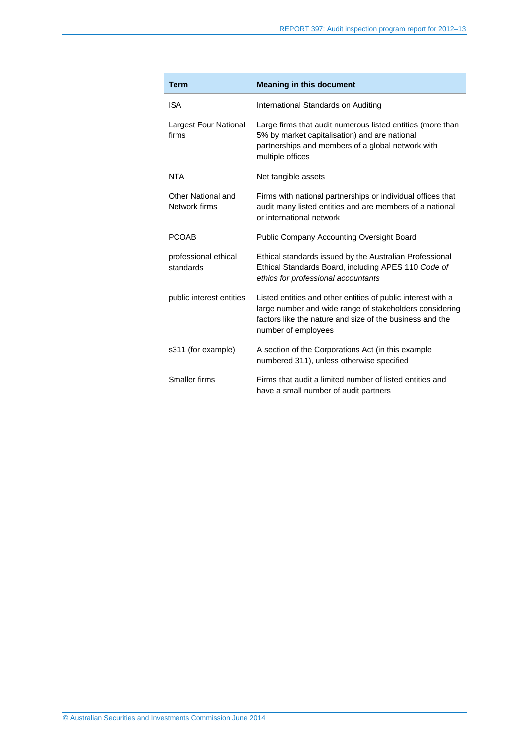| <b>Term</b>                         | <b>Meaning in this document</b>                                                                                                                                                                            |
|-------------------------------------|------------------------------------------------------------------------------------------------------------------------------------------------------------------------------------------------------------|
| <b>ISA</b>                          | International Standards on Auditing                                                                                                                                                                        |
| Largest Four National<br>firms      | Large firms that audit numerous listed entities (more than<br>5% by market capitalisation) and are national<br>partnerships and members of a global network with<br>multiple offices                       |
| <b>NTA</b>                          | Net tangible assets                                                                                                                                                                                        |
| Other National and<br>Network firms | Firms with national partnerships or individual offices that<br>audit many listed entities and are members of a national<br>or international network                                                        |
| <b>PCOAB</b>                        | <b>Public Company Accounting Oversight Board</b>                                                                                                                                                           |
| professional ethical<br>standards   | Ethical standards issued by the Australian Professional<br>Ethical Standards Board, including APES 110 Code of<br>ethics for professional accountants                                                      |
| public interest entities            | Listed entities and other entities of public interest with a<br>large number and wide range of stakeholders considering<br>factors like the nature and size of the business and the<br>number of employees |
| s311 (for example)                  | A section of the Corporations Act (in this example<br>numbered 311), unless otherwise specified                                                                                                            |
| Smaller firms                       | Firms that audit a limited number of listed entities and<br>have a small number of audit partners                                                                                                          |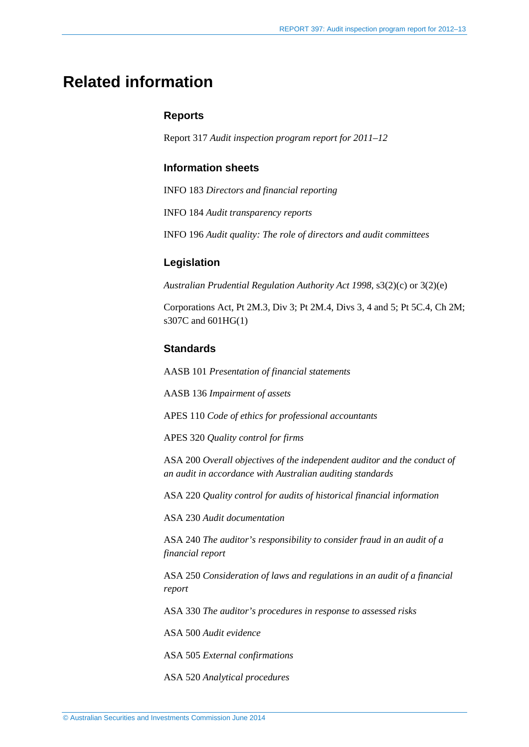## <span id="page-51-0"></span>**Related information**

#### **Reports**

Report 317 *Audit inspection program report for 2011–12*

#### **Information sheets**

INFO 183 *Directors and financial reporting*

INFO 184 *Audit transparency reports*

INFO 196 *Audit quality: The role of directors and audit committees*

#### **Legislation**

*Australian Prudential Regulation Authority Act 1998*, s3(2)(c) or 3(2)(e)

Corporations Act, Pt 2M.3, Div 3; Pt 2M.4, Divs 3, 4 and 5; Pt 5C.4, Ch 2M; s307C and 601HG(1)

#### **Standards**

AASB 101 *Presentation of financial statements*

AASB 136 *Impairment of assets*

APES 110 *Code of ethics for professional accountants*

APES 320 *Quality control for firms*

ASA 200 *Overall objectives of the independent auditor and the conduct of an audit in accordance with Australian auditing standards*

ASA 220 *Quality control for audits of historical financial information*

ASA 230 *Audit documentation*

ASA 240 *The auditor's responsibility to consider fraud in an audit of a financial report*

ASA 250 *Consideration of laws and regulations in an audit of a financial report*

ASA 330 *The auditor's procedures in response to assessed risks*

ASA 500 *Audit evidence*

ASA 505 *External confirmations*

ASA 520 *Analytical procedures*